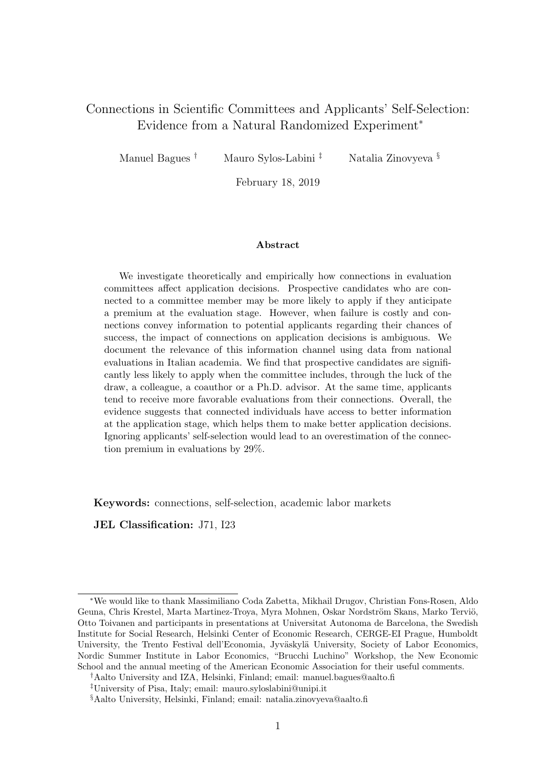# Connections in Scientific Committees and Applicants' Self-Selection: Evidence from a Natural Randomized Experiment<sup>∗</sup>

Manuel Bagues † Mauro Sylos-Labini ‡ Natalia Zinovyeva §

February 18, 2019

#### Abstract

We investigate theoretically and empirically how connections in evaluation committees affect application decisions. Prospective candidates who are connected to a committee member may be more likely to apply if they anticipate a premium at the evaluation stage. However, when failure is costly and connections convey information to potential applicants regarding their chances of success, the impact of connections on application decisions is ambiguous. We document the relevance of this information channel using data from national evaluations in Italian academia. We find that prospective candidates are significantly less likely to apply when the committee includes, through the luck of the draw, a colleague, a coauthor or a Ph.D. advisor. At the same time, applicants tend to receive more favorable evaluations from their connections. Overall, the evidence suggests that connected individuals have access to better information at the application stage, which helps them to make better application decisions. Ignoring applicants' self-selection would lead to an overestimation of the connection premium in evaluations by 29%.

Keywords: connections, self-selection, academic labor markets

JEL Classification: J71, I23

<sup>∗</sup>We would like to thank Massimiliano Coda Zabetta, Mikhail Drugov, Christian Fons-Rosen, Aldo Geuna, Chris Krestel, Marta Martinez-Troya, Myra Mohnen, Oskar Nordström Skans, Marko Terviö, Otto Toivanen and participants in presentations at Universitat Autonoma de Barcelona, the Swedish Institute for Social Research, Helsinki Center of Economic Research, CERGE-EI Prague, Humboldt University, the Trento Festival dell'Economia, Jyväskylä University, Society of Labor Economics, Nordic Summer Institute in Labor Economics, "Brucchi Luchino" Workshop, the New Economic School and the annual meeting of the American Economic Association for their useful comments.

<sup>†</sup>Aalto University and IZA, Helsinki, Finland; email: manuel.bagues@aalto.fi

<sup>‡</sup>University of Pisa, Italy; email: mauro.syloslabini@unipi.it

<sup>§</sup>Aalto University, Helsinki, Finland; email: natalia.zinovyeva@aalto.fi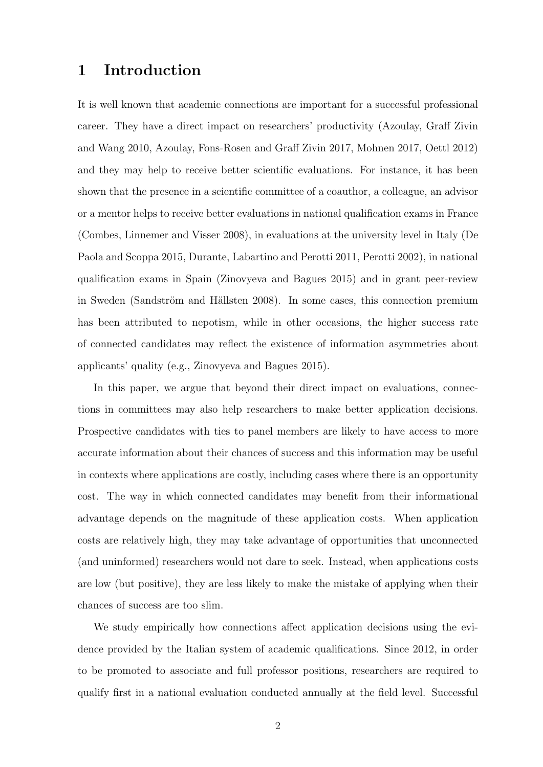# 1 Introduction

It is well known that academic connections are important for a successful professional career. They have a direct impact on researchers' productivity (Azoulay, Graff Zivin and Wang 2010, Azoulay, Fons-Rosen and Graff Zivin 2017, Mohnen 2017, Oettl 2012) and they may help to receive better scientific evaluations. For instance, it has been shown that the presence in a scientific committee of a coauthor, a colleague, an advisor or a mentor helps to receive better evaluations in national qualification exams in France (Combes, Linnemer and Visser 2008), in evaluations at the university level in Italy (De Paola and Scoppa 2015, Durante, Labartino and Perotti 2011, Perotti 2002), in national qualification exams in Spain (Zinovyeva and Bagues 2015) and in grant peer-review in Sweden (Sandström and Hällsten 2008). In some cases, this connection premium has been attributed to nepotism, while in other occasions, the higher success rate of connected candidates may reflect the existence of information asymmetries about applicants' quality (e.g., Zinovyeva and Bagues 2015).

In this paper, we argue that beyond their direct impact on evaluations, connections in committees may also help researchers to make better application decisions. Prospective candidates with ties to panel members are likely to have access to more accurate information about their chances of success and this information may be useful in contexts where applications are costly, including cases where there is an opportunity cost. The way in which connected candidates may benefit from their informational advantage depends on the magnitude of these application costs. When application costs are relatively high, they may take advantage of opportunities that unconnected (and uninformed) researchers would not dare to seek. Instead, when applications costs are low (but positive), they are less likely to make the mistake of applying when their chances of success are too slim.

We study empirically how connections affect application decisions using the evidence provided by the Italian system of academic qualifications. Since 2012, in order to be promoted to associate and full professor positions, researchers are required to qualify first in a national evaluation conducted annually at the field level. Successful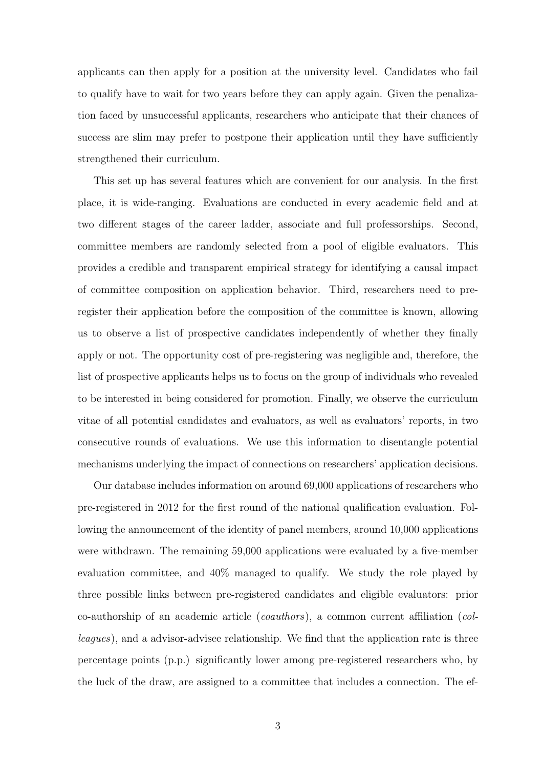applicants can then apply for a position at the university level. Candidates who fail to qualify have to wait for two years before they can apply again. Given the penalization faced by unsuccessful applicants, researchers who anticipate that their chances of success are slim may prefer to postpone their application until they have sufficiently strengthened their curriculum.

This set up has several features which are convenient for our analysis. In the first place, it is wide-ranging. Evaluations are conducted in every academic field and at two different stages of the career ladder, associate and full professorships. Second, committee members are randomly selected from a pool of eligible evaluators. This provides a credible and transparent empirical strategy for identifying a causal impact of committee composition on application behavior. Third, researchers need to preregister their application before the composition of the committee is known, allowing us to observe a list of prospective candidates independently of whether they finally apply or not. The opportunity cost of pre-registering was negligible and, therefore, the list of prospective applicants helps us to focus on the group of individuals who revealed to be interested in being considered for promotion. Finally, we observe the curriculum vitae of all potential candidates and evaluators, as well as evaluators' reports, in two consecutive rounds of evaluations. We use this information to disentangle potential mechanisms underlying the impact of connections on researchers' application decisions.

Our database includes information on around 69,000 applications of researchers who pre-registered in 2012 for the first round of the national qualification evaluation. Following the announcement of the identity of panel members, around 10,000 applications were withdrawn. The remaining 59,000 applications were evaluated by a five-member evaluation committee, and 40% managed to qualify. We study the role played by three possible links between pre-registered candidates and eligible evaluators: prior co-authorship of an academic article (coauthors), a common current affiliation (colleagues), and a advisor-advisee relationship. We find that the application rate is three percentage points (p.p.) significantly lower among pre-registered researchers who, by the luck of the draw, are assigned to a committee that includes a connection. The ef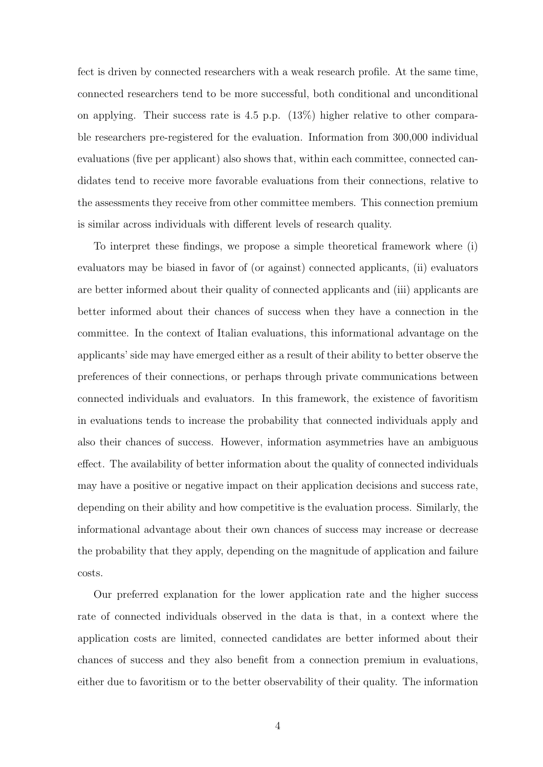fect is driven by connected researchers with a weak research profile. At the same time, connected researchers tend to be more successful, both conditional and unconditional on applying. Their success rate is 4.5 p.p. (13%) higher relative to other comparable researchers pre-registered for the evaluation. Information from 300,000 individual evaluations (five per applicant) also shows that, within each committee, connected candidates tend to receive more favorable evaluations from their connections, relative to the assessments they receive from other committee members. This connection premium is similar across individuals with different levels of research quality.

To interpret these findings, we propose a simple theoretical framework where (i) evaluators may be biased in favor of (or against) connected applicants, (ii) evaluators are better informed about their quality of connected applicants and (iii) applicants are better informed about their chances of success when they have a connection in the committee. In the context of Italian evaluations, this informational advantage on the applicants' side may have emerged either as a result of their ability to better observe the preferences of their connections, or perhaps through private communications between connected individuals and evaluators. In this framework, the existence of favoritism in evaluations tends to increase the probability that connected individuals apply and also their chances of success. However, information asymmetries have an ambiguous effect. The availability of better information about the quality of connected individuals may have a positive or negative impact on their application decisions and success rate, depending on their ability and how competitive is the evaluation process. Similarly, the informational advantage about their own chances of success may increase or decrease the probability that they apply, depending on the magnitude of application and failure costs.

Our preferred explanation for the lower application rate and the higher success rate of connected individuals observed in the data is that, in a context where the application costs are limited, connected candidates are better informed about their chances of success and they also benefit from a connection premium in evaluations, either due to favoritism or to the better observability of their quality. The information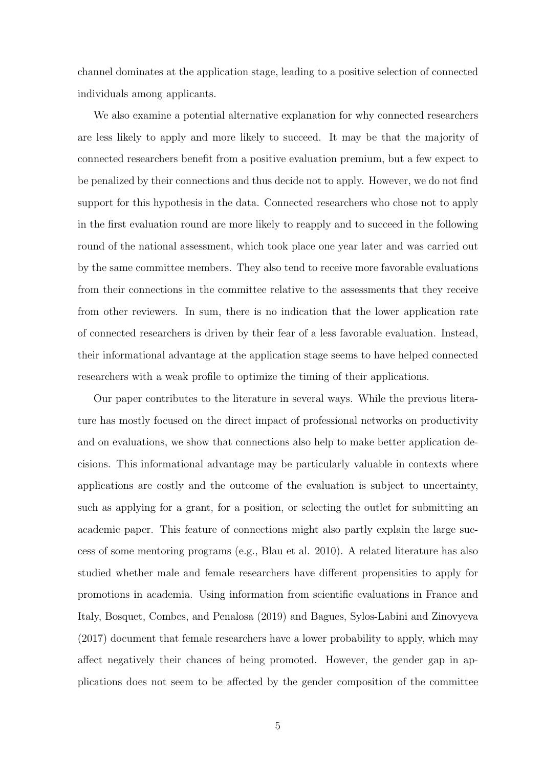channel dominates at the application stage, leading to a positive selection of connected individuals among applicants.

We also examine a potential alternative explanation for why connected researchers are less likely to apply and more likely to succeed. It may be that the majority of connected researchers benefit from a positive evaluation premium, but a few expect to be penalized by their connections and thus decide not to apply. However, we do not find support for this hypothesis in the data. Connected researchers who chose not to apply in the first evaluation round are more likely to reapply and to succeed in the following round of the national assessment, which took place one year later and was carried out by the same committee members. They also tend to receive more favorable evaluations from their connections in the committee relative to the assessments that they receive from other reviewers. In sum, there is no indication that the lower application rate of connected researchers is driven by their fear of a less favorable evaluation. Instead, their informational advantage at the application stage seems to have helped connected researchers with a weak profile to optimize the timing of their applications.

Our paper contributes to the literature in several ways. While the previous literature has mostly focused on the direct impact of professional networks on productivity and on evaluations, we show that connections also help to make better application decisions. This informational advantage may be particularly valuable in contexts where applications are costly and the outcome of the evaluation is subject to uncertainty, such as applying for a grant, for a position, or selecting the outlet for submitting an academic paper. This feature of connections might also partly explain the large success of some mentoring programs (e.g., Blau et al. 2010). A related literature has also studied whether male and female researchers have different propensities to apply for promotions in academia. Using information from scientific evaluations in France and Italy, Bosquet, Combes, and Penalosa (2019) and Bagues, Sylos-Labini and Zinovyeva (2017) document that female researchers have a lower probability to apply, which may affect negatively their chances of being promoted. However, the gender gap in applications does not seem to be affected by the gender composition of the committee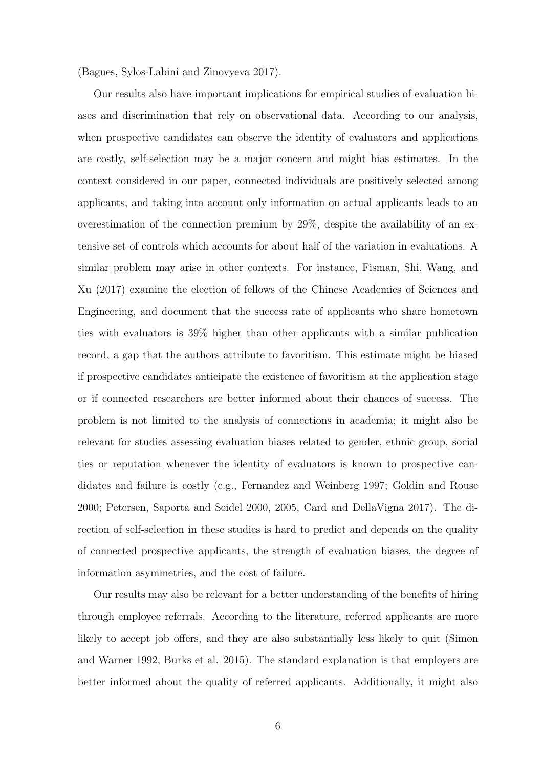(Bagues, Sylos-Labini and Zinovyeva 2017).

Our results also have important implications for empirical studies of evaluation biases and discrimination that rely on observational data. According to our analysis, when prospective candidates can observe the identity of evaluators and applications are costly, self-selection may be a major concern and might bias estimates. In the context considered in our paper, connected individuals are positively selected among applicants, and taking into account only information on actual applicants leads to an overestimation of the connection premium by 29%, despite the availability of an extensive set of controls which accounts for about half of the variation in evaluations. A similar problem may arise in other contexts. For instance, Fisman, Shi, Wang, and Xu (2017) examine the election of fellows of the Chinese Academies of Sciences and Engineering, and document that the success rate of applicants who share hometown ties with evaluators is 39% higher than other applicants with a similar publication record, a gap that the authors attribute to favoritism. This estimate might be biased if prospective candidates anticipate the existence of favoritism at the application stage or if connected researchers are better informed about their chances of success. The problem is not limited to the analysis of connections in academia; it might also be relevant for studies assessing evaluation biases related to gender, ethnic group, social ties or reputation whenever the identity of evaluators is known to prospective candidates and failure is costly (e.g., Fernandez and Weinberg 1997; Goldin and Rouse 2000; Petersen, Saporta and Seidel 2000, 2005, Card and DellaVigna 2017). The direction of self-selection in these studies is hard to predict and depends on the quality of connected prospective applicants, the strength of evaluation biases, the degree of information asymmetries, and the cost of failure.

Our results may also be relevant for a better understanding of the benefits of hiring through employee referrals. According to the literature, referred applicants are more likely to accept job offers, and they are also substantially less likely to quit (Simon and Warner 1992, Burks et al. 2015). The standard explanation is that employers are better informed about the quality of referred applicants. Additionally, it might also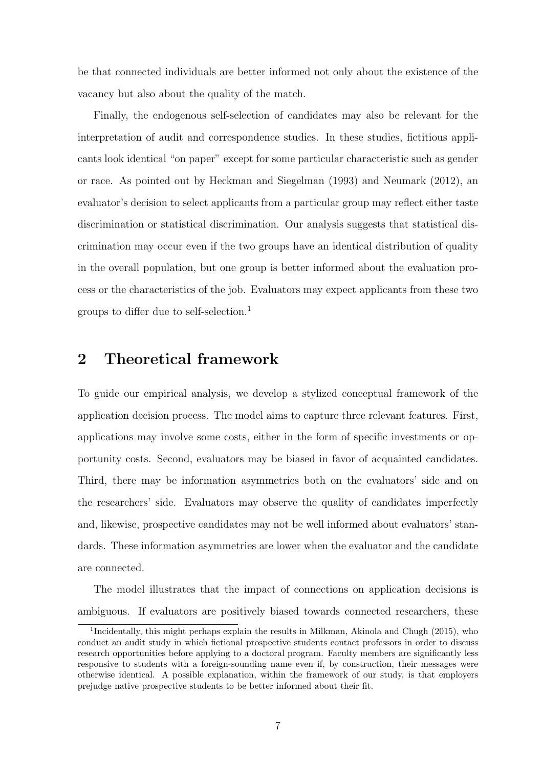be that connected individuals are better informed not only about the existence of the vacancy but also about the quality of the match.

Finally, the endogenous self-selection of candidates may also be relevant for the interpretation of audit and correspondence studies. In these studies, fictitious applicants look identical "on paper" except for some particular characteristic such as gender or race. As pointed out by Heckman and Siegelman (1993) and Neumark (2012), an evaluator's decision to select applicants from a particular group may reflect either taste discrimination or statistical discrimination. Our analysis suggests that statistical discrimination may occur even if the two groups have an identical distribution of quality in the overall population, but one group is better informed about the evaluation process or the characteristics of the job. Evaluators may expect applicants from these two groups to differ due to self-selection.<sup>1</sup>

# 2 Theoretical framework

To guide our empirical analysis, we develop a stylized conceptual framework of the application decision process. The model aims to capture three relevant features. First, applications may involve some costs, either in the form of specific investments or opportunity costs. Second, evaluators may be biased in favor of acquainted candidates. Third, there may be information asymmetries both on the evaluators' side and on the researchers' side. Evaluators may observe the quality of candidates imperfectly and, likewise, prospective candidates may not be well informed about evaluators' standards. These information asymmetries are lower when the evaluator and the candidate are connected.

The model illustrates that the impact of connections on application decisions is ambiguous. If evaluators are positively biased towards connected researchers, these

<sup>&</sup>lt;sup>1</sup>Incidentally, this might perhaps explain the results in Milkman, Akinola and Chugh (2015), who conduct an audit study in which fictional prospective students contact professors in order to discuss research opportunities before applying to a doctoral program. Faculty members are significantly less responsive to students with a foreign-sounding name even if, by construction, their messages were otherwise identical. A possible explanation, within the framework of our study, is that employers prejudge native prospective students to be better informed about their fit.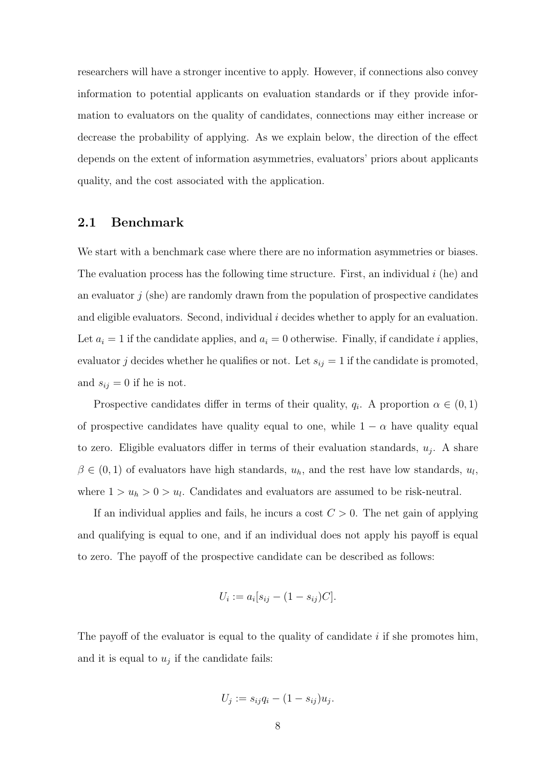researchers will have a stronger incentive to apply. However, if connections also convey information to potential applicants on evaluation standards or if they provide information to evaluators on the quality of candidates, connections may either increase or decrease the probability of applying. As we explain below, the direction of the effect depends on the extent of information asymmetries, evaluators' priors about applicants quality, and the cost associated with the application.

# 2.1 Benchmark

We start with a benchmark case where there are no information asymmetries or biases. The evaluation process has the following time structure. First, an individual  $i$  (he) and an evaluator  $i$  (she) are randomly drawn from the population of prospective candidates and eligible evaluators. Second, individual i decides whether to apply for an evaluation. Let  $a_i = 1$  if the candidate applies, and  $a_i = 0$  otherwise. Finally, if candidate i applies, evaluator j decides whether he qualifies or not. Let  $s_{ij} = 1$  if the candidate is promoted, and  $s_{ij} = 0$  if he is not.

Prospective candidates differ in terms of their quality,  $q_i$ . A proportion  $\alpha \in (0,1)$ of prospective candidates have quality equal to one, while  $1 - \alpha$  have quality equal to zero. Eligible evaluators differ in terms of their evaluation standards,  $u_j$ . A share  $\beta \in (0,1)$  of evaluators have high standards,  $u_h$ , and the rest have low standards,  $u_l$ , where  $1 > u_h > 0 > u_l$ . Candidates and evaluators are assumed to be risk-neutral.

If an individual applies and fails, he incurs a cost  $C > 0$ . The net gain of applying and qualifying is equal to one, and if an individual does not apply his payoff is equal to zero. The payoff of the prospective candidate can be described as follows:

$$
U_i := a_i [s_{ij} - (1 - s_{ij})C].
$$

The payoff of the evaluator is equal to the quality of candidate  $i$  if she promotes him, and it is equal to  $u_j$  if the candidate fails:

$$
U_j := s_{ij}q_i - (1 - s_{ij})u_j.
$$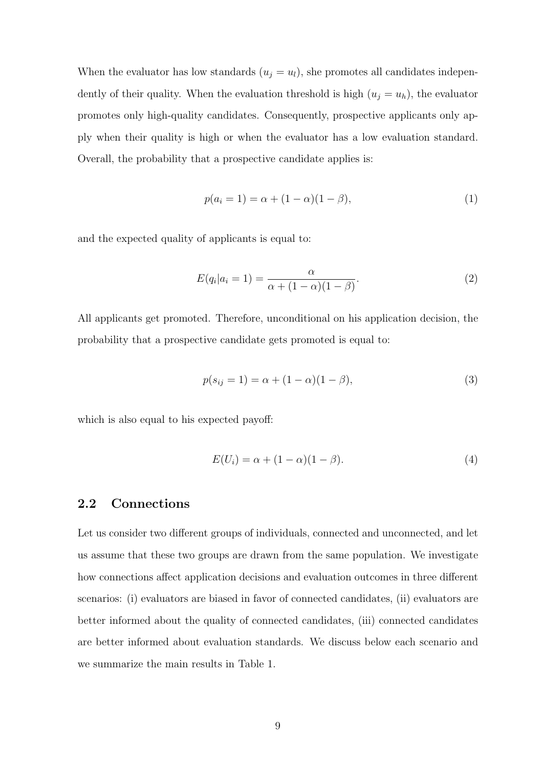When the evaluator has low standards  $(u_j = u_l)$ , she promotes all candidates independently of their quality. When the evaluation threshold is high  $(u_j = u_h)$ , the evaluator promotes only high-quality candidates. Consequently, prospective applicants only apply when their quality is high or when the evaluator has a low evaluation standard. Overall, the probability that a prospective candidate applies is:

$$
p(a_i = 1) = \alpha + (1 - \alpha)(1 - \beta),
$$
\n(1)

and the expected quality of applicants is equal to:

$$
E(q_i|a_i=1) = \frac{\alpha}{\alpha + (1-\alpha)(1-\beta)}.\tag{2}
$$

All applicants get promoted. Therefore, unconditional on his application decision, the probability that a prospective candidate gets promoted is equal to:

$$
p(s_{ij} = 1) = \alpha + (1 - \alpha)(1 - \beta),
$$
\n(3)

which is also equal to his expected payoff:

$$
E(U_i) = \alpha + (1 - \alpha)(1 - \beta). \tag{4}
$$

### 2.2 Connections

Let us consider two different groups of individuals, connected and unconnected, and let us assume that these two groups are drawn from the same population. We investigate how connections affect application decisions and evaluation outcomes in three different scenarios: (i) evaluators are biased in favor of connected candidates, (ii) evaluators are better informed about the quality of connected candidates, (iii) connected candidates are better informed about evaluation standards. We discuss below each scenario and we summarize the main results in Table 1.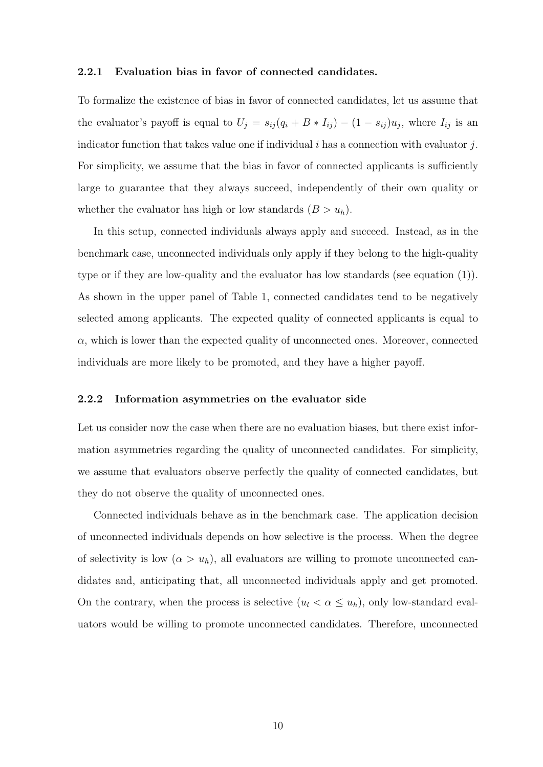#### 2.2.1 Evaluation bias in favor of connected candidates.

To formalize the existence of bias in favor of connected candidates, let us assume that the evaluator's payoff is equal to  $U_j = s_{ij} (q_i + B * I_{ij}) - (1 - s_{ij}) u_j$ , where  $I_{ij}$  is an indicator function that takes value one if individual  $i$  has a connection with evaluator  $j$ . For simplicity, we assume that the bias in favor of connected applicants is sufficiently large to guarantee that they always succeed, independently of their own quality or whether the evaluator has high or low standards  $(B > u_h)$ .

In this setup, connected individuals always apply and succeed. Instead, as in the benchmark case, unconnected individuals only apply if they belong to the high-quality type or if they are low-quality and the evaluator has low standards (see equation (1)). As shown in the upper panel of Table 1, connected candidates tend to be negatively selected among applicants. The expected quality of connected applicants is equal to  $\alpha$ , which is lower than the expected quality of unconnected ones. Moreover, connected individuals are more likely to be promoted, and they have a higher payoff.

#### 2.2.2 Information asymmetries on the evaluator side

Let us consider now the case when there are no evaluation biases, but there exist information asymmetries regarding the quality of unconnected candidates. For simplicity, we assume that evaluators observe perfectly the quality of connected candidates, but they do not observe the quality of unconnected ones.

Connected individuals behave as in the benchmark case. The application decision of unconnected individuals depends on how selective is the process. When the degree of selectivity is low  $(\alpha > u_h)$ , all evaluators are willing to promote unconnected candidates and, anticipating that, all unconnected individuals apply and get promoted. On the contrary, when the process is selective  $(u_l < \alpha \leq u_h)$ , only low-standard evaluators would be willing to promote unconnected candidates. Therefore, unconnected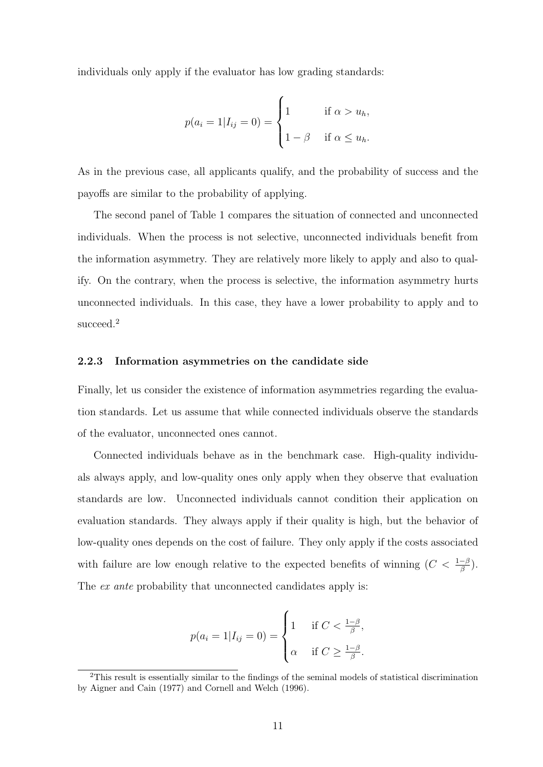individuals only apply if the evaluator has low grading standards:

$$
p(a_i = 1 | I_{ij} = 0) = \begin{cases} 1 & \text{if } \alpha > u_h, \\ 1 - \beta & \text{if } \alpha \le u_h. \end{cases}
$$

As in the previous case, all applicants qualify, and the probability of success and the payoffs are similar to the probability of applying.

The second panel of Table 1 compares the situation of connected and unconnected individuals. When the process is not selective, unconnected individuals benefit from the information asymmetry. They are relatively more likely to apply and also to qualify. On the contrary, when the process is selective, the information asymmetry hurts unconnected individuals. In this case, they have a lower probability to apply and to succeed.<sup>2</sup>

#### 2.2.3 Information asymmetries on the candidate side

Finally, let us consider the existence of information asymmetries regarding the evaluation standards. Let us assume that while connected individuals observe the standards of the evaluator, unconnected ones cannot.

Connected individuals behave as in the benchmark case. High-quality individuals always apply, and low-quality ones only apply when they observe that evaluation standards are low. Unconnected individuals cannot condition their application on evaluation standards. They always apply if their quality is high, but the behavior of low-quality ones depends on the cost of failure. They only apply if the costs associated with failure are low enough relative to the expected benefits of winning  $(C < \frac{1-\beta}{\beta})$ . The *ex ante* probability that unconnected candidates apply is:

$$
p(a_i = 1 | I_{ij} = 0) = \begin{cases} 1 & \text{if } C < \frac{1-\beta}{\beta}, \\ \alpha & \text{if } C \ge \frac{1-\beta}{\beta}. \end{cases}
$$

<sup>2</sup>This result is essentially similar to the findings of the seminal models of statistical discrimination by Aigner and Cain (1977) and Cornell and Welch (1996).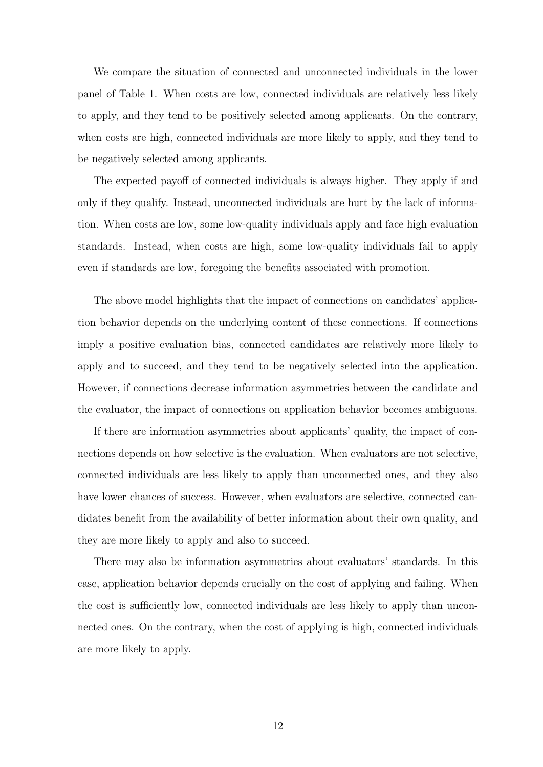We compare the situation of connected and unconnected individuals in the lower panel of Table 1. When costs are low, connected individuals are relatively less likely to apply, and they tend to be positively selected among applicants. On the contrary, when costs are high, connected individuals are more likely to apply, and they tend to be negatively selected among applicants.

The expected payoff of connected individuals is always higher. They apply if and only if they qualify. Instead, unconnected individuals are hurt by the lack of information. When costs are low, some low-quality individuals apply and face high evaluation standards. Instead, when costs are high, some low-quality individuals fail to apply even if standards are low, foregoing the benefits associated with promotion.

The above model highlights that the impact of connections on candidates' application behavior depends on the underlying content of these connections. If connections imply a positive evaluation bias, connected candidates are relatively more likely to apply and to succeed, and they tend to be negatively selected into the application. However, if connections decrease information asymmetries between the candidate and the evaluator, the impact of connections on application behavior becomes ambiguous.

If there are information asymmetries about applicants' quality, the impact of connections depends on how selective is the evaluation. When evaluators are not selective, connected individuals are less likely to apply than unconnected ones, and they also have lower chances of success. However, when evaluators are selective, connected candidates benefit from the availability of better information about their own quality, and they are more likely to apply and also to succeed.

There may also be information asymmetries about evaluators' standards. In this case, application behavior depends crucially on the cost of applying and failing. When the cost is sufficiently low, connected individuals are less likely to apply than unconnected ones. On the contrary, when the cost of applying is high, connected individuals are more likely to apply.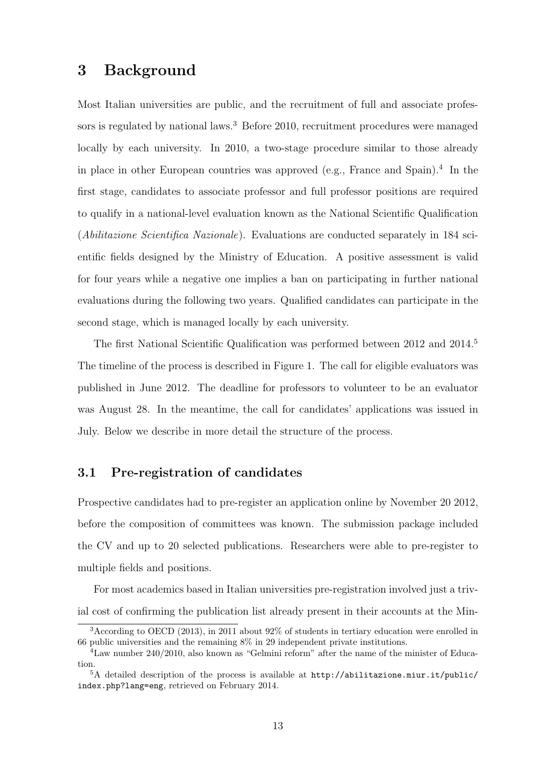# 3 Background

Most Italian universities are public, and the recruitment of full and associate professors is regulated by national laws.<sup>3</sup> Before 2010, recruitment procedures were managed locally by each university. In 2010, a two-stage procedure similar to those already in place in other European countries was approved (e.g., France and Spain).<sup>4</sup> In the first stage, candidates to associate professor and full professor positions are required to qualify in a national-level evaluation known as the National Scientific Qualification (Abilitazione Scientifica Nazionale). Evaluations are conducted separately in 184 scientific fields designed by the Ministry of Education. A positive assessment is valid for four years while a negative one implies a ban on participating in further national evaluations during the following two years. Qualified candidates can participate in the second stage, which is managed locally by each university.

The first National Scientific Qualification was performed between 2012 and 2014.<sup>5</sup> The timeline of the process is described in Figure 1. The call for eligible evaluators was published in June 2012. The deadline for professors to volunteer to be an evaluator was August 28. In the meantime, the call for candidates' applications was issued in July. Below we describe in more detail the structure of the process.

# 3.1 Pre-registration of candidates

Prospective candidates had to pre-register an application online by November 20 2012, before the composition of committees was known. The submission package included the CV and up to 20 selected publications. Researchers were able to pre-register to multiple fields and positions.

For most academics based in Italian universities pre-registration involved just a trivial cost of confirming the publication list already present in their accounts at the Min-

<sup>3</sup>According to OECD (2013), in 2011 about 92% of students in tertiary education were enrolled in 66 public universities and the remaining 8% in 29 independent private institutions.

<sup>4</sup>Law number 240/2010, also known as "Gelmini reform" after the name of the minister of Education.

 ${}^{5}$ A detailed description of the process is available at http://abilitazione.miur.it/public/ index.php?lang=eng, retrieved on February 2014.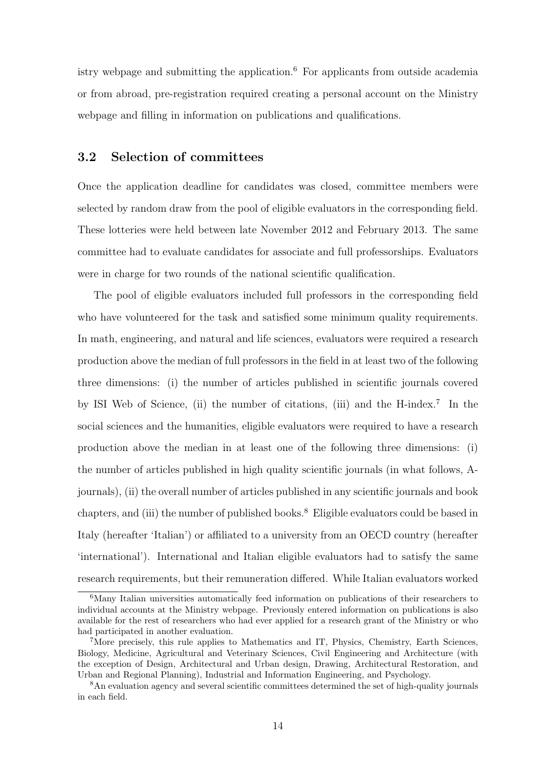istry webpage and submitting the application.<sup>6</sup> For applicants from outside academia or from abroad, pre-registration required creating a personal account on the Ministry webpage and filling in information on publications and qualifications.

# 3.2 Selection of committees

Once the application deadline for candidates was closed, committee members were selected by random draw from the pool of eligible evaluators in the corresponding field. These lotteries were held between late November 2012 and February 2013. The same committee had to evaluate candidates for associate and full professorships. Evaluators were in charge for two rounds of the national scientific qualification.

The pool of eligible evaluators included full professors in the corresponding field who have volunteered for the task and satisfied some minimum quality requirements. In math, engineering, and natural and life sciences, evaluators were required a research production above the median of full professors in the field in at least two of the following three dimensions: (i) the number of articles published in scientific journals covered by ISI Web of Science, (ii) the number of citations, (iii) and the H-index.<sup>7</sup> In the social sciences and the humanities, eligible evaluators were required to have a research production above the median in at least one of the following three dimensions: (i) the number of articles published in high quality scientific journals (in what follows, Ajournals), (ii) the overall number of articles published in any scientific journals and book chapters, and (iii) the number of published books.<sup>8</sup> Eligible evaluators could be based in Italy (hereafter 'Italian') or affiliated to a university from an OECD country (hereafter 'international'). International and Italian eligible evaluators had to satisfy the same research requirements, but their remuneration differed. While Italian evaluators worked

 $6$ Many Italian universities automatically feed information on publications of their researchers to individual accounts at the Ministry webpage. Previously entered information on publications is also available for the rest of researchers who had ever applied for a research grant of the Ministry or who had participated in another evaluation.

<sup>&</sup>lt;sup>7</sup>More precisely, this rule applies to Mathematics and IT, Physics, Chemistry, Earth Sciences, Biology, Medicine, Agricultural and Veterinary Sciences, Civil Engineering and Architecture (with the exception of Design, Architectural and Urban design, Drawing, Architectural Restoration, and Urban and Regional Planning), Industrial and Information Engineering, and Psychology.

<sup>&</sup>lt;sup>8</sup>An evaluation agency and several scientific committees determined the set of high-quality journals in each field.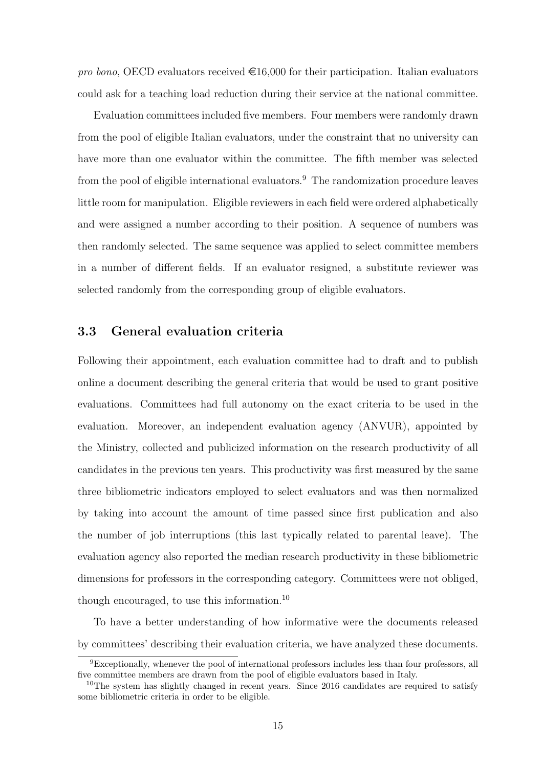pro bono, OECD evaluators received  $\in 16,000$  for their participation. Italian evaluators could ask for a teaching load reduction during their service at the national committee.

Evaluation committees included five members. Four members were randomly drawn from the pool of eligible Italian evaluators, under the constraint that no university can have more than one evaluator within the committee. The fifth member was selected from the pool of eligible international evaluators.<sup>9</sup> The randomization procedure leaves little room for manipulation. Eligible reviewers in each field were ordered alphabetically and were assigned a number according to their position. A sequence of numbers was then randomly selected. The same sequence was applied to select committee members in a number of different fields. If an evaluator resigned, a substitute reviewer was selected randomly from the corresponding group of eligible evaluators.

# 3.3 General evaluation criteria

Following their appointment, each evaluation committee had to draft and to publish online a document describing the general criteria that would be used to grant positive evaluations. Committees had full autonomy on the exact criteria to be used in the evaluation. Moreover, an independent evaluation agency (ANVUR), appointed by the Ministry, collected and publicized information on the research productivity of all candidates in the previous ten years. This productivity was first measured by the same three bibliometric indicators employed to select evaluators and was then normalized by taking into account the amount of time passed since first publication and also the number of job interruptions (this last typically related to parental leave). The evaluation agency also reported the median research productivity in these bibliometric dimensions for professors in the corresponding category. Committees were not obliged, though encouraged, to use this information.<sup>10</sup>

To have a better understanding of how informative were the documents released by committees' describing their evaluation criteria, we have analyzed these documents.

<sup>9</sup>Exceptionally, whenever the pool of international professors includes less than four professors, all five committee members are drawn from the pool of eligible evaluators based in Italy.

<sup>&</sup>lt;sup>10</sup>The system has slightly changed in recent years. Since 2016 candidates are required to satisfy some bibliometric criteria in order to be eligible.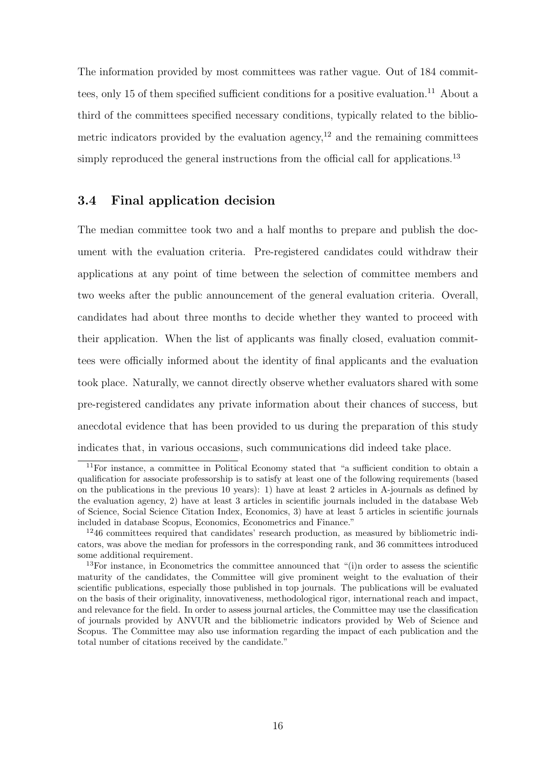The information provided by most committees was rather vague. Out of 184 committees, only 15 of them specified sufficient conditions for a positive evaluation.<sup>11</sup> About a third of the committees specified necessary conditions, typically related to the bibliometric indicators provided by the evaluation agency,<sup>12</sup> and the remaining committees simply reproduced the general instructions from the official call for applications.<sup>13</sup>

# 3.4 Final application decision

The median committee took two and a half months to prepare and publish the document with the evaluation criteria. Pre-registered candidates could withdraw their applications at any point of time between the selection of committee members and two weeks after the public announcement of the general evaluation criteria. Overall, candidates had about three months to decide whether they wanted to proceed with their application. When the list of applicants was finally closed, evaluation committees were officially informed about the identity of final applicants and the evaluation took place. Naturally, we cannot directly observe whether evaluators shared with some pre-registered candidates any private information about their chances of success, but anecdotal evidence that has been provided to us during the preparation of this study indicates that, in various occasions, such communications did indeed take place.

<sup>11</sup>For instance, a committee in Political Economy stated that "a sufficient condition to obtain a qualification for associate professorship is to satisfy at least one of the following requirements (based on the publications in the previous 10 years): 1) have at least 2 articles in A-journals as defined by the evaluation agency, 2) have at least 3 articles in scientific journals included in the database Web of Science, Social Science Citation Index, Economics, 3) have at least 5 articles in scientific journals included in database Scopus, Economics, Econometrics and Finance."

<sup>&</sup>lt;sup>12</sup>46 committees required that candidates' research production, as measured by bibliometric indicators, was above the median for professors in the corresponding rank, and 36 committees introduced some additional requirement.

<sup>&</sup>lt;sup>13</sup>For instance, in Econometrics the committee announced that "(i)n order to assess the scientific maturity of the candidates, the Committee will give prominent weight to the evaluation of their scientific publications, especially those published in top journals. The publications will be evaluated on the basis of their originality, innovativeness, methodological rigor, international reach and impact, and relevance for the field. In order to assess journal articles, the Committee may use the classification of journals provided by ANVUR and the bibliometric indicators provided by Web of Science and Scopus. The Committee may also use information regarding the impact of each publication and the total number of citations received by the candidate."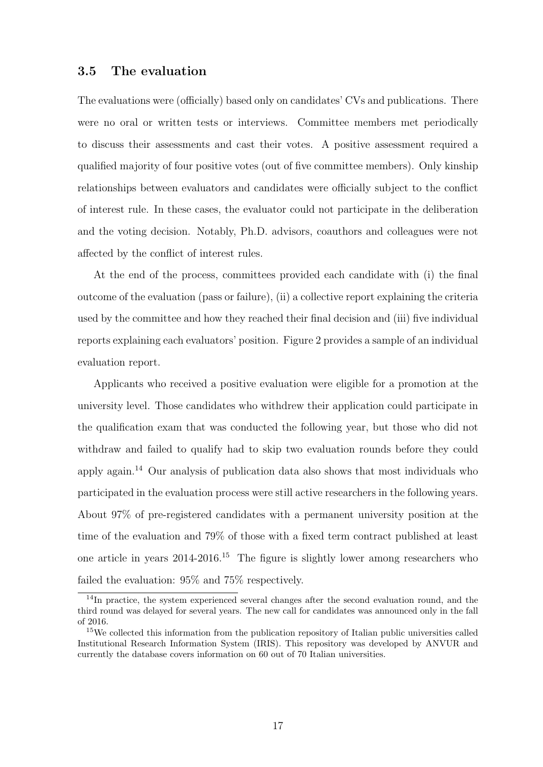# 3.5 The evaluation

The evaluations were (officially) based only on candidates' CVs and publications. There were no oral or written tests or interviews. Committee members met periodically to discuss their assessments and cast their votes. A positive assessment required a qualified majority of four positive votes (out of five committee members). Only kinship relationships between evaluators and candidates were officially subject to the conflict of interest rule. In these cases, the evaluator could not participate in the deliberation and the voting decision. Notably, Ph.D. advisors, coauthors and colleagues were not affected by the conflict of interest rules.

At the end of the process, committees provided each candidate with (i) the final outcome of the evaluation (pass or failure), (ii) a collective report explaining the criteria used by the committee and how they reached their final decision and (iii) five individual reports explaining each evaluators' position. Figure 2 provides a sample of an individual evaluation report.

Applicants who received a positive evaluation were eligible for a promotion at the university level. Those candidates who withdrew their application could participate in the qualification exam that was conducted the following year, but those who did not withdraw and failed to qualify had to skip two evaluation rounds before they could apply again.<sup>14</sup> Our analysis of publication data also shows that most individuals who participated in the evaluation process were still active researchers in the following years. About 97% of pre-registered candidates with a permanent university position at the time of the evaluation and 79% of those with a fixed term contract published at least one article in years  $2014-2016$ <sup>15</sup> The figure is slightly lower among researchers who failed the evaluation: 95% and 75% respectively.

<sup>&</sup>lt;sup>14</sup>In practice, the system experienced several changes after the second evaluation round, and the third round was delayed for several years. The new call for candidates was announced only in the fall of 2016.

<sup>15</sup>We collected this information from the publication repository of Italian public universities called Institutional Research Information System (IRIS). This repository was developed by ANVUR and currently the database covers information on 60 out of 70 Italian universities.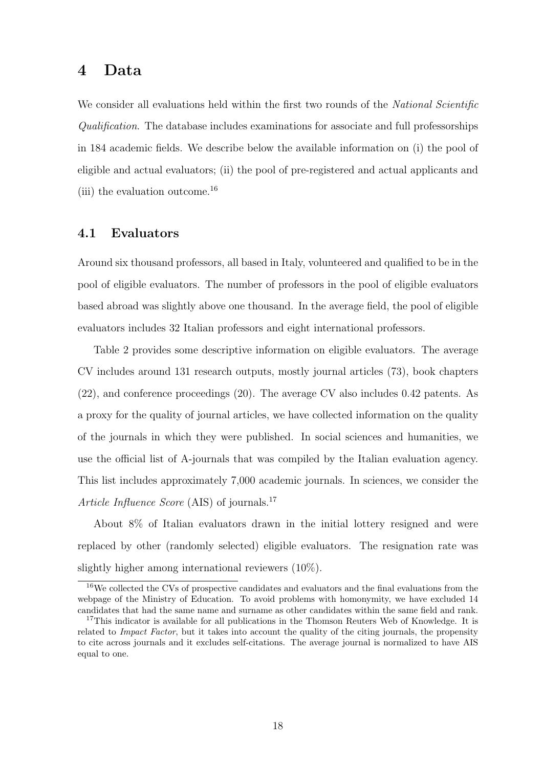# 4 Data

We consider all evaluations held within the first two rounds of the *National Scientific* Qualification. The database includes examinations for associate and full professorships in 184 academic fields. We describe below the available information on (i) the pool of eligible and actual evaluators; (ii) the pool of pre-registered and actual applicants and (iii) the evaluation outcome.<sup>16</sup>

# 4.1 Evaluators

Around six thousand professors, all based in Italy, volunteered and qualified to be in the pool of eligible evaluators. The number of professors in the pool of eligible evaluators based abroad was slightly above one thousand. In the average field, the pool of eligible evaluators includes 32 Italian professors and eight international professors.

Table 2 provides some descriptive information on eligible evaluators. The average CV includes around 131 research outputs, mostly journal articles (73), book chapters (22), and conference proceedings (20). The average CV also includes 0.42 patents. As a proxy for the quality of journal articles, we have collected information on the quality of the journals in which they were published. In social sciences and humanities, we use the official list of A-journals that was compiled by the Italian evaluation agency. This list includes approximately 7,000 academic journals. In sciences, we consider the Article Influence Score (AIS) of journals.<sup>17</sup>

About 8% of Italian evaluators drawn in the initial lottery resigned and were replaced by other (randomly selected) eligible evaluators. The resignation rate was slightly higher among international reviewers (10%).

<sup>&</sup>lt;sup>16</sup>We collected the CVs of prospective candidates and evaluators and the final evaluations from the webpage of the Ministry of Education. To avoid problems with homonymity, we have excluded 14 candidates that had the same name and surname as other candidates within the same field and rank.

<sup>&</sup>lt;sup>17</sup>This indicator is available for all publications in the Thomson Reuters Web of Knowledge. It is related to Impact Factor, but it takes into account the quality of the citing journals, the propensity to cite across journals and it excludes self-citations. The average journal is normalized to have AIS equal to one.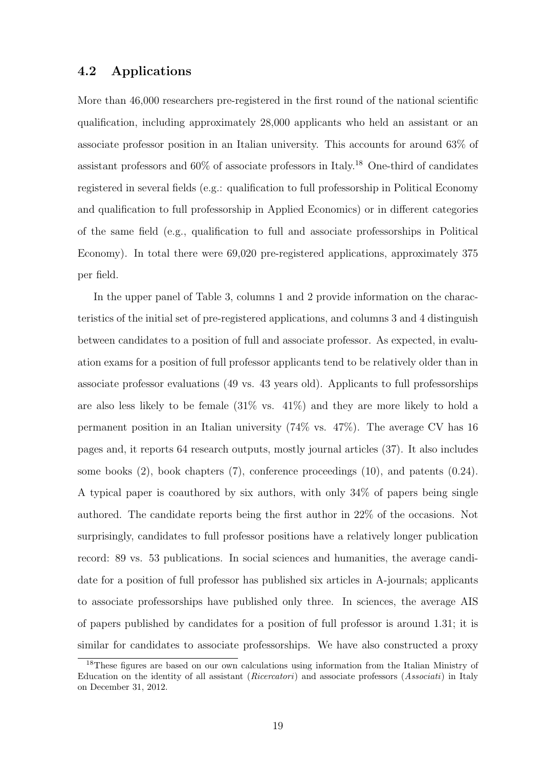# 4.2 Applications

More than 46,000 researchers pre-registered in the first round of the national scientific qualification, including approximately 28,000 applicants who held an assistant or an associate professor position in an Italian university. This accounts for around 63% of assistant professors and  $60\%$  of associate professors in Italy.<sup>18</sup> One-third of candidates registered in several fields (e.g.: qualification to full professorship in Political Economy and qualification to full professorship in Applied Economics) or in different categories of the same field (e.g., qualification to full and associate professorships in Political Economy). In total there were 69,020 pre-registered applications, approximately 375 per field.

In the upper panel of Table 3, columns 1 and 2 provide information on the characteristics of the initial set of pre-registered applications, and columns 3 and 4 distinguish between candidates to a position of full and associate professor. As expected, in evaluation exams for a position of full professor applicants tend to be relatively older than in associate professor evaluations (49 vs. 43 years old). Applicants to full professorships are also less likely to be female  $(31\% \text{ vs. } 41\%)$  and they are more likely to hold a permanent position in an Italian university (74% vs. 47%). The average CV has 16 pages and, it reports 64 research outputs, mostly journal articles (37). It also includes some books (2), book chapters (7), conference proceedings (10), and patents (0.24). A typical paper is coauthored by six authors, with only 34% of papers being single authored. The candidate reports being the first author in 22% of the occasions. Not surprisingly, candidates to full professor positions have a relatively longer publication record: 89 vs. 53 publications. In social sciences and humanities, the average candidate for a position of full professor has published six articles in A-journals; applicants to associate professorships have published only three. In sciences, the average AIS of papers published by candidates for a position of full professor is around 1.31; it is similar for candidates to associate professorships. We have also constructed a proxy

<sup>&</sup>lt;sup>18</sup>These figures are based on our own calculations using information from the Italian Ministry of Education on the identity of all assistant (Ricercatori) and associate professors (Associati) in Italy on December 31, 2012.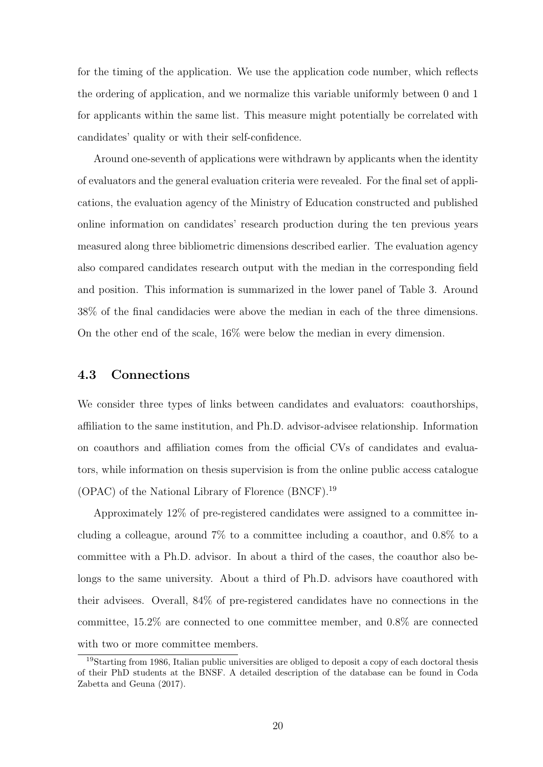for the timing of the application. We use the application code number, which reflects the ordering of application, and we normalize this variable uniformly between 0 and 1 for applicants within the same list. This measure might potentially be correlated with candidates' quality or with their self-confidence.

Around one-seventh of applications were withdrawn by applicants when the identity of evaluators and the general evaluation criteria were revealed. For the final set of applications, the evaluation agency of the Ministry of Education constructed and published online information on candidates' research production during the ten previous years measured along three bibliometric dimensions described earlier. The evaluation agency also compared candidates research output with the median in the corresponding field and position. This information is summarized in the lower panel of Table 3. Around 38% of the final candidacies were above the median in each of the three dimensions. On the other end of the scale, 16% were below the median in every dimension.

# 4.3 Connections

We consider three types of links between candidates and evaluators: coauthorships, affiliation to the same institution, and Ph.D. advisor-advisee relationship. Information on coauthors and affiliation comes from the official CVs of candidates and evaluators, while information on thesis supervision is from the online public access catalogue (OPAC) of the National Library of Florence (BNCF).<sup>19</sup>

Approximately 12% of pre-registered candidates were assigned to a committee including a colleague, around 7% to a committee including a coauthor, and 0.8% to a committee with a Ph.D. advisor. In about a third of the cases, the coauthor also belongs to the same university. About a third of Ph.D. advisors have coauthored with their advisees. Overall, 84% of pre-registered candidates have no connections in the committee, 15.2% are connected to one committee member, and 0.8% are connected with two or more committee members.

<sup>&</sup>lt;sup>19</sup>Starting from 1986, Italian public universities are obliged to deposit a copy of each doctoral thesis of their PhD students at the BNSF. A detailed description of the database can be found in Coda Zabetta and Geuna (2017).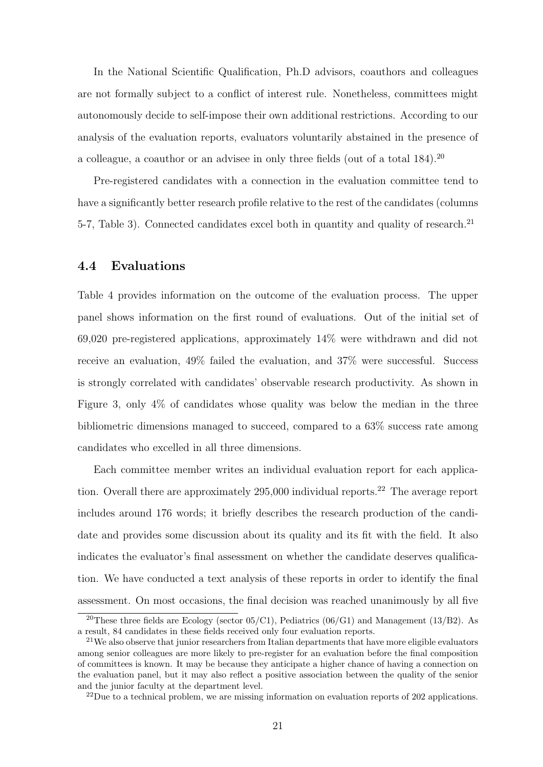In the National Scientific Qualification, Ph.D advisors, coauthors and colleagues are not formally subject to a conflict of interest rule. Nonetheless, committees might autonomously decide to self-impose their own additional restrictions. According to our analysis of the evaluation reports, evaluators voluntarily abstained in the presence of a colleague, a coauthor or an advisee in only three fields (out of a total 184).<sup>20</sup>

Pre-registered candidates with a connection in the evaluation committee tend to have a significantly better research profile relative to the rest of the candidates (columns 5-7, Table 3). Connected candidates excel both in quantity and quality of research.<sup>21</sup>

# 4.4 Evaluations

Table 4 provides information on the outcome of the evaluation process. The upper panel shows information on the first round of evaluations. Out of the initial set of 69,020 pre-registered applications, approximately 14% were withdrawn and did not receive an evaluation, 49% failed the evaluation, and 37% were successful. Success is strongly correlated with candidates' observable research productivity. As shown in Figure 3, only 4% of candidates whose quality was below the median in the three bibliometric dimensions managed to succeed, compared to a 63% success rate among candidates who excelled in all three dimensions.

Each committee member writes an individual evaluation report for each application. Overall there are approximately  $295,000$  individual reports.<sup>22</sup> The average report includes around 176 words; it briefly describes the research production of the candidate and provides some discussion about its quality and its fit with the field. It also indicates the evaluator's final assessment on whether the candidate deserves qualification. We have conducted a text analysis of these reports in order to identify the final assessment. On most occasions, the final decision was reached unanimously by all five

<sup>&</sup>lt;sup>20</sup>These three fields are Ecology (sector 05/C1), Pediatrics (06/G1) and Management (13/B2). As a result, 84 candidates in these fields received only four evaluation reports.

 $21$ We also observe that junior researchers from Italian departments that have more eligible evaluators among senior colleagues are more likely to pre-register for an evaluation before the final composition of committees is known. It may be because they anticipate a higher chance of having a connection on the evaluation panel, but it may also reflect a positive association between the quality of the senior and the junior faculty at the department level.

 $^{22}$ Due to a technical problem, we are missing information on evaluation reports of 202 applications.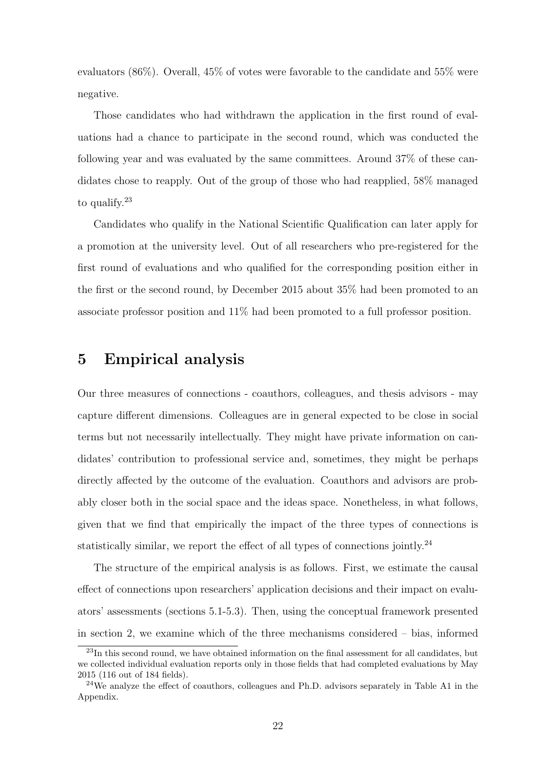evaluators (86%). Overall, 45% of votes were favorable to the candidate and 55% were negative.

Those candidates who had withdrawn the application in the first round of evaluations had a chance to participate in the second round, which was conducted the following year and was evaluated by the same committees. Around 37% of these candidates chose to reapply. Out of the group of those who had reapplied, 58% managed to qualify.<sup>23</sup>

Candidates who qualify in the National Scientific Qualification can later apply for a promotion at the university level. Out of all researchers who pre-registered for the first round of evaluations and who qualified for the corresponding position either in the first or the second round, by December 2015 about 35% had been promoted to an associate professor position and 11% had been promoted to a full professor position.

# 5 Empirical analysis

Our three measures of connections - coauthors, colleagues, and thesis advisors - may capture different dimensions. Colleagues are in general expected to be close in social terms but not necessarily intellectually. They might have private information on candidates' contribution to professional service and, sometimes, they might be perhaps directly affected by the outcome of the evaluation. Coauthors and advisors are probably closer both in the social space and the ideas space. Nonetheless, in what follows, given that we find that empirically the impact of the three types of connections is statistically similar, we report the effect of all types of connections jointly.<sup>24</sup>

The structure of the empirical analysis is as follows. First, we estimate the causal effect of connections upon researchers' application decisions and their impact on evaluators' assessments (sections 5.1-5.3). Then, using the conceptual framework presented in section 2, we examine which of the three mechanisms considered – bias, informed

<sup>&</sup>lt;sup>23</sup>In this second round, we have obtained information on the final assessment for all candidates, but we collected individual evaluation reports only in those fields that had completed evaluations by May 2015 (116 out of 184 fields).

<sup>24</sup>We analyze the effect of coauthors, colleagues and Ph.D. advisors separately in Table A1 in the Appendix.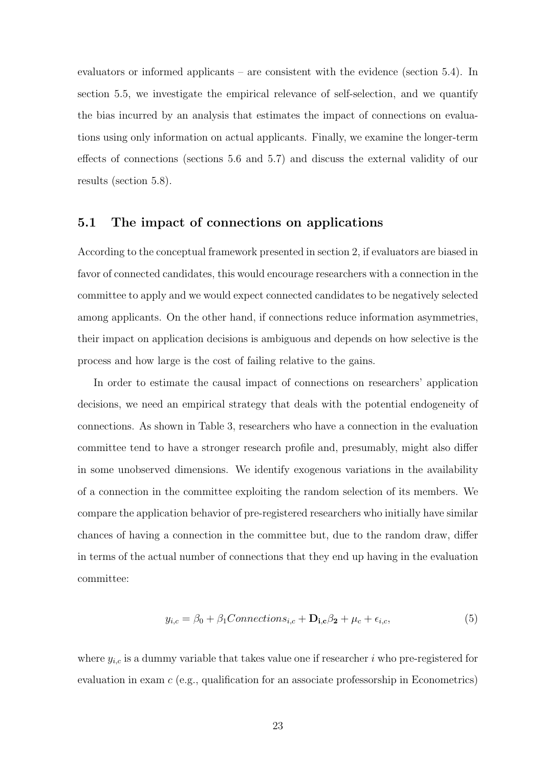evaluators or informed applicants – are consistent with the evidence (section 5.4). In section 5.5, we investigate the empirical relevance of self-selection, and we quantify the bias incurred by an analysis that estimates the impact of connections on evaluations using only information on actual applicants. Finally, we examine the longer-term effects of connections (sections 5.6 and 5.7) and discuss the external validity of our results (section 5.8).

# 5.1 The impact of connections on applications

According to the conceptual framework presented in section 2, if evaluators are biased in favor of connected candidates, this would encourage researchers with a connection in the committee to apply and we would expect connected candidates to be negatively selected among applicants. On the other hand, if connections reduce information asymmetries, their impact on application decisions is ambiguous and depends on how selective is the process and how large is the cost of failing relative to the gains.

In order to estimate the causal impact of connections on researchers' application decisions, we need an empirical strategy that deals with the potential endogeneity of connections. As shown in Table 3, researchers who have a connection in the evaluation committee tend to have a stronger research profile and, presumably, might also differ in some unobserved dimensions. We identify exogenous variations in the availability of a connection in the committee exploiting the random selection of its members. We compare the application behavior of pre-registered researchers who initially have similar chances of having a connection in the committee but, due to the random draw, differ in terms of the actual number of connections that they end up having in the evaluation committee:

$$
y_{i,c} = \beta_0 + \beta_1 Connections_{i,c} + \mathbf{D}_{i,c}\beta_2 + \mu_c + \epsilon_{i,c},\tag{5}
$$

where  $y_{i,c}$  is a dummy variable that takes value one if researcher i who pre-registered for evaluation in exam c (e.g., qualification for an associate professorship in Econometrics)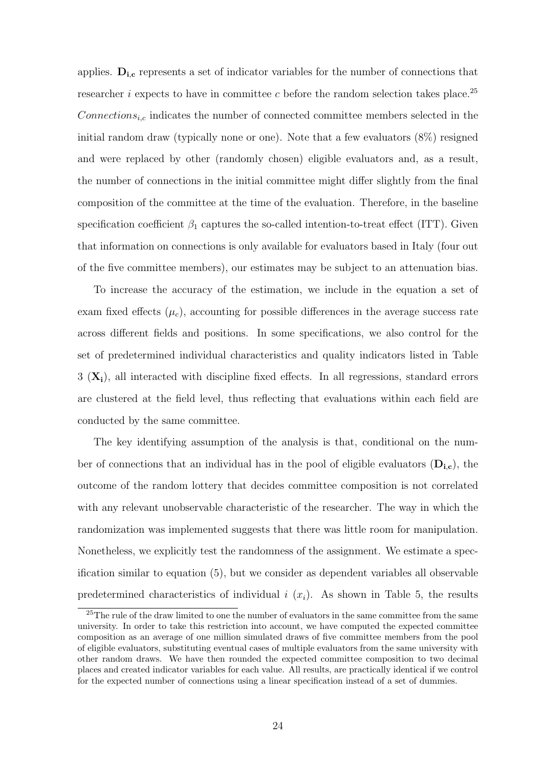applies.  $D_{i,c}$  represents a set of indicator variables for the number of connections that researcher *i* expects to have in committee c before the random selection takes place.<sup>25</sup>  $Connections_{i,c}$  indicates the number of connected committee members selected in the initial random draw (typically none or one). Note that a few evaluators (8%) resigned and were replaced by other (randomly chosen) eligible evaluators and, as a result, the number of connections in the initial committee might differ slightly from the final composition of the committee at the time of the evaluation. Therefore, in the baseline specification coefficient  $\beta_1$  captures the so-called intention-to-treat effect (ITT). Given that information on connections is only available for evaluators based in Italy (four out of the five committee members), our estimates may be subject to an attenuation bias.

To increase the accuracy of the estimation, we include in the equation a set of exam fixed effects  $(\mu_c)$ , accounting for possible differences in the average success rate across different fields and positions. In some specifications, we also control for the set of predetermined individual characteristics and quality indicators listed in Table  $3 (\mathbf{X}_i)$ , all interacted with discipline fixed effects. In all regressions, standard errors are clustered at the field level, thus reflecting that evaluations within each field are conducted by the same committee.

The key identifying assumption of the analysis is that, conditional on the number of connections that an individual has in the pool of eligible evaluators  $(D_{i,c})$ , the outcome of the random lottery that decides committee composition is not correlated with any relevant unobservable characteristic of the researcher. The way in which the randomization was implemented suggests that there was little room for manipulation. Nonetheless, we explicitly test the randomness of the assignment. We estimate a specification similar to equation (5), but we consider as dependent variables all observable predetermined characteristics of individual i  $(x_i)$ . As shown in Table 5, the results

<sup>&</sup>lt;sup>25</sup>The rule of the draw limited to one the number of evaluators in the same committee from the same university. In order to take this restriction into account, we have computed the expected committee composition as an average of one million simulated draws of five committee members from the pool of eligible evaluators, substituting eventual cases of multiple evaluators from the same university with other random draws. We have then rounded the expected committee composition to two decimal places and created indicator variables for each value. All results, are practically identical if we control for the expected number of connections using a linear specification instead of a set of dummies.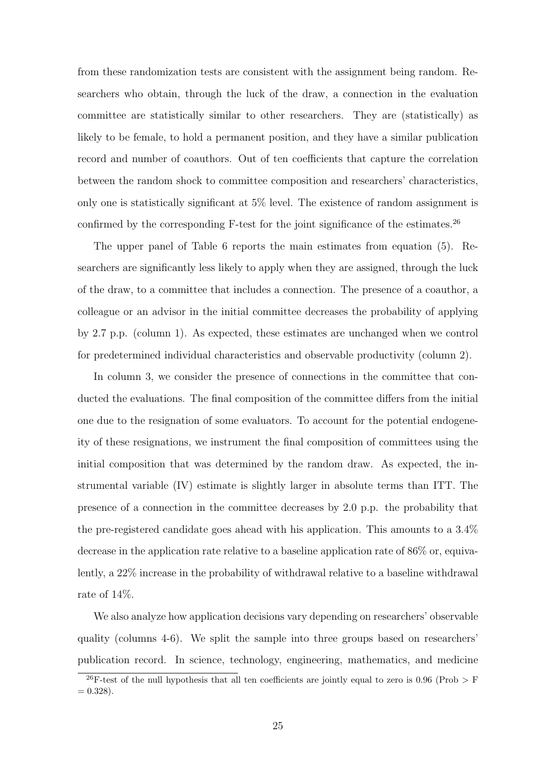from these randomization tests are consistent with the assignment being random. Researchers who obtain, through the luck of the draw, a connection in the evaluation committee are statistically similar to other researchers. They are (statistically) as likely to be female, to hold a permanent position, and they have a similar publication record and number of coauthors. Out of ten coefficients that capture the correlation between the random shock to committee composition and researchers' characteristics, only one is statistically significant at 5% level. The existence of random assignment is confirmed by the corresponding  $F$ -test for the joint significance of the estimates.<sup>26</sup>

The upper panel of Table 6 reports the main estimates from equation (5). Researchers are significantly less likely to apply when they are assigned, through the luck of the draw, to a committee that includes a connection. The presence of a coauthor, a colleague or an advisor in the initial committee decreases the probability of applying by 2.7 p.p. (column 1). As expected, these estimates are unchanged when we control for predetermined individual characteristics and observable productivity (column 2).

In column 3, we consider the presence of connections in the committee that conducted the evaluations. The final composition of the committee differs from the initial one due to the resignation of some evaluators. To account for the potential endogeneity of these resignations, we instrument the final composition of committees using the initial composition that was determined by the random draw. As expected, the instrumental variable (IV) estimate is slightly larger in absolute terms than ITT. The presence of a connection in the committee decreases by 2.0 p.p. the probability that the pre-registered candidate goes ahead with his application. This amounts to a 3.4% decrease in the application rate relative to a baseline application rate of 86% or, equivalently, a 22% increase in the probability of withdrawal relative to a baseline withdrawal rate of 14%.

We also analyze how application decisions vary depending on researchers' observable quality (columns 4-6). We split the sample into three groups based on researchers' publication record. In science, technology, engineering, mathematics, and medicine

<sup>&</sup>lt;sup>26</sup>F-test of the null hypothesis that all ten coefficients are jointly equal to zero is 0.96 (Prob  $>$  F  $= 0.328$ .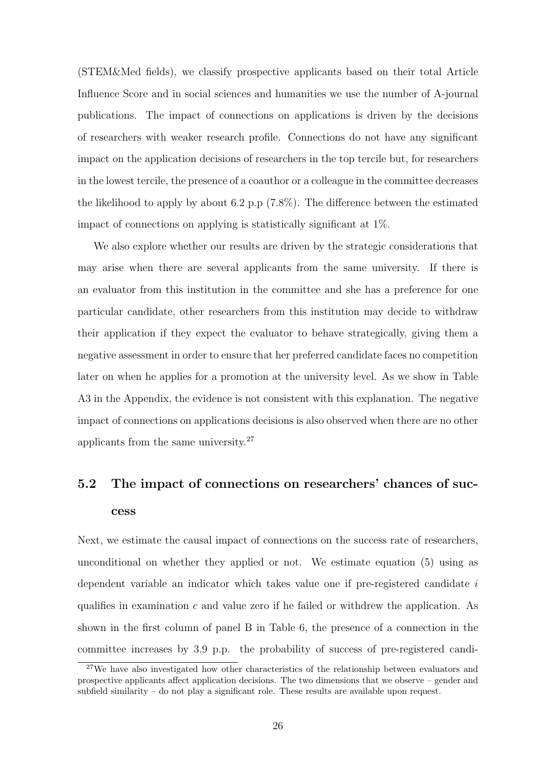(STEM&Med fields), we classify prospective applicants based on their total Article Influence Score and in social sciences and humanities we use the number of A-journal publications. The impact of connections on applications is driven by the decisions of researchers with weaker research profile. Connections do not have any significant impact on the application decisions of researchers in the top tercile but, for researchers in the lowest tercile, the presence of a coauthor or a colleague in the committee decreases the likelihood to apply by about 6.2 p.p (7.8%). The difference between the estimated impact of connections on applying is statistically significant at 1%.

We also explore whether our results are driven by the strategic considerations that may arise when there are several applicants from the same university. If there is an evaluator from this institution in the committee and she has a preference for one particular candidate, other researchers from this institution may decide to withdraw their application if they expect the evaluator to behave strategically, giving them a negative assessment in order to ensure that her preferred candidate faces no competition later on when he applies for a promotion at the university level. As we show in Table A3 in the Appendix, the evidence is not consistent with this explanation. The negative impact of connections on applications decisions is also observed when there are no other applicants from the same university.<sup>27</sup>

# 5.2 The impact of connections on researchers' chances of success

Next, we estimate the causal impact of connections on the success rate of researchers, unconditional on whether they applied or not. We estimate equation (5) using as dependent variable an indicator which takes value one if pre-registered candidate i qualifies in examination  $c$  and value zero if he failed or withdrew the application. As shown in the first column of panel B in Table 6, the presence of a connection in the committee increases by 3.9 p.p. the probability of success of pre-registered candi-

<sup>&</sup>lt;sup>27</sup>We have also investigated how other characteristics of the relationship between evaluators and prospective applicants affect application decisions. The two dimensions that we observe – gender and subfield similarity – do not play a significant role. These results are available upon request.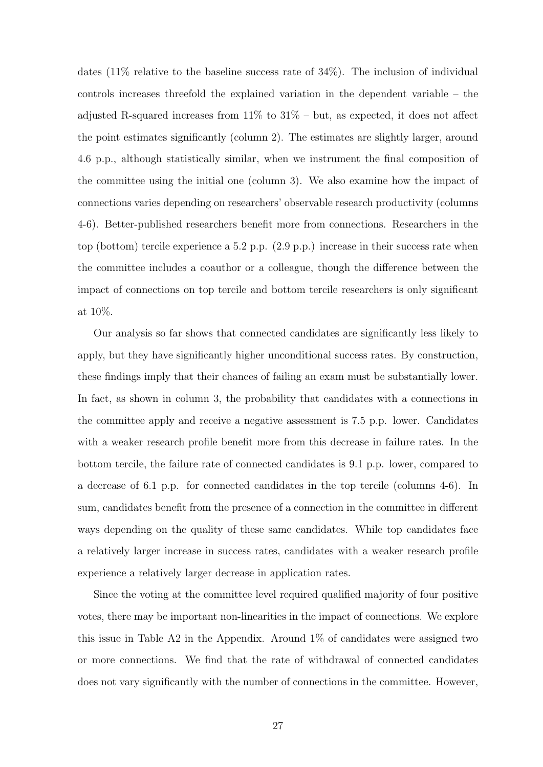dates (11% relative to the baseline success rate of 34%). The inclusion of individual controls increases threefold the explained variation in the dependent variable – the adjusted R-squared increases from  $11\%$  to  $31\%$  – but, as expected, it does not affect the point estimates significantly (column 2). The estimates are slightly larger, around 4.6 p.p., although statistically similar, when we instrument the final composition of the committee using the initial one (column 3). We also examine how the impact of connections varies depending on researchers' observable research productivity (columns 4-6). Better-published researchers benefit more from connections. Researchers in the top (bottom) tercile experience a 5.2 p.p. (2.9 p.p.) increase in their success rate when the committee includes a coauthor or a colleague, though the difference between the impact of connections on top tercile and bottom tercile researchers is only significant at 10%.

Our analysis so far shows that connected candidates are significantly less likely to apply, but they have significantly higher unconditional success rates. By construction, these findings imply that their chances of failing an exam must be substantially lower. In fact, as shown in column 3, the probability that candidates with a connections in the committee apply and receive a negative assessment is 7.5 p.p. lower. Candidates with a weaker research profile benefit more from this decrease in failure rates. In the bottom tercile, the failure rate of connected candidates is 9.1 p.p. lower, compared to a decrease of 6.1 p.p. for connected candidates in the top tercile (columns 4-6). In sum, candidates benefit from the presence of a connection in the committee in different ways depending on the quality of these same candidates. While top candidates face a relatively larger increase in success rates, candidates with a weaker research profile experience a relatively larger decrease in application rates.

Since the voting at the committee level required qualified majority of four positive votes, there may be important non-linearities in the impact of connections. We explore this issue in Table A2 in the Appendix. Around  $1\%$  of candidates were assigned two or more connections. We find that the rate of withdrawal of connected candidates does not vary significantly with the number of connections in the committee. However,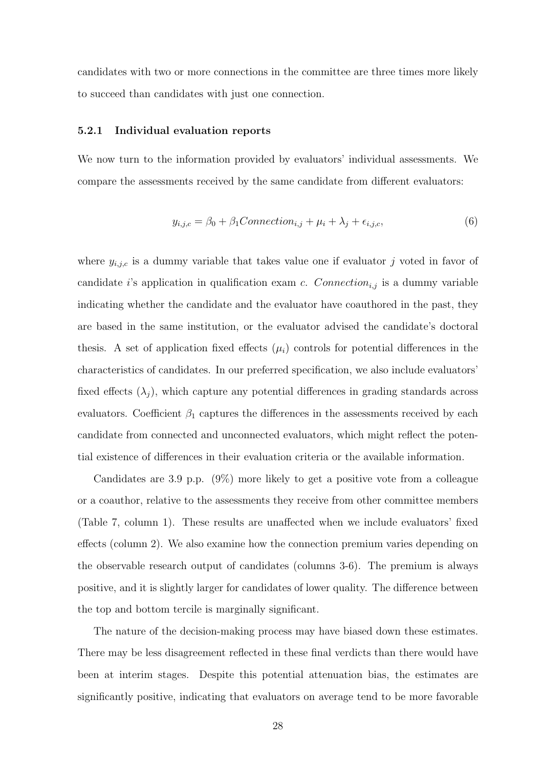candidates with two or more connections in the committee are three times more likely to succeed than candidates with just one connection.

#### 5.2.1 Individual evaluation reports

We now turn to the information provided by evaluators' individual assessments. We compare the assessments received by the same candidate from different evaluators:

$$
y_{i,j,c} = \beta_0 + \beta_1 Connection_{i,j} + \mu_i + \lambda_j + \epsilon_{i,j,c},\tag{6}
$$

where  $y_{i,j,c}$  is a dummy variable that takes value one if evaluator j voted in favor of candidate i's application in qualification exam c. Connection<sub>i,j</sub> is a dummy variable indicating whether the candidate and the evaluator have coauthored in the past, they are based in the same institution, or the evaluator advised the candidate's doctoral thesis. A set of application fixed effects  $(\mu_i)$  controls for potential differences in the characteristics of candidates. In our preferred specification, we also include evaluators' fixed effects  $(\lambda_i)$ , which capture any potential differences in grading standards across evaluators. Coefficient  $\beta_1$  captures the differences in the assessments received by each candidate from connected and unconnected evaluators, which might reflect the potential existence of differences in their evaluation criteria or the available information.

Candidates are 3.9 p.p. (9%) more likely to get a positive vote from a colleague or a coauthor, relative to the assessments they receive from other committee members (Table 7, column 1). These results are unaffected when we include evaluators' fixed effects (column 2). We also examine how the connection premium varies depending on the observable research output of candidates (columns 3-6). The premium is always positive, and it is slightly larger for candidates of lower quality. The difference between the top and bottom tercile is marginally significant.

The nature of the decision-making process may have biased down these estimates. There may be less disagreement reflected in these final verdicts than there would have been at interim stages. Despite this potential attenuation bias, the estimates are significantly positive, indicating that evaluators on average tend to be more favorable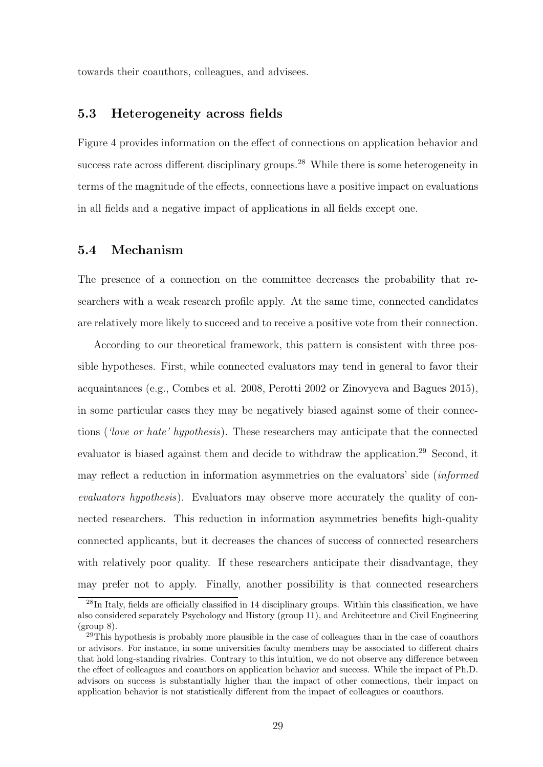towards their coauthors, colleagues, and advisees.

# 5.3 Heterogeneity across fields

Figure 4 provides information on the effect of connections on application behavior and success rate across different disciplinary groups.<sup>28</sup> While there is some heterogeneity in terms of the magnitude of the effects, connections have a positive impact on evaluations in all fields and a negative impact of applications in all fields except one.

# 5.4 Mechanism

The presence of a connection on the committee decreases the probability that researchers with a weak research profile apply. At the same time, connected candidates are relatively more likely to succeed and to receive a positive vote from their connection.

According to our theoretical framework, this pattern is consistent with three possible hypotheses. First, while connected evaluators may tend in general to favor their acquaintances (e.g., Combes et al. 2008, Perotti 2002 or Zinovyeva and Bagues 2015), in some particular cases they may be negatively biased against some of their connections ('love or hate' hypothesis). These researchers may anticipate that the connected evaluator is biased against them and decide to withdraw the application.<sup>29</sup> Second, it may reflect a reduction in information asymmetries on the evaluators' side *(informed*) evaluators hypothesis). Evaluators may observe more accurately the quality of connected researchers. This reduction in information asymmetries benefits high-quality connected applicants, but it decreases the chances of success of connected researchers with relatively poor quality. If these researchers anticipate their disadvantage, they may prefer not to apply. Finally, another possibility is that connected researchers

<sup>&</sup>lt;sup>28</sup>In Italy, fields are officially classified in 14 disciplinary groups. Within this classification, we have also considered separately Psychology and History (group 11), and Architecture and Civil Engineering  $(group 8)$ .

 $^{29}$ This hypothesis is probably more plausible in the case of colleagues than in the case of coauthors or advisors. For instance, in some universities faculty members may be associated to different chairs that hold long-standing rivalries. Contrary to this intuition, we do not observe any difference between the effect of colleagues and coauthors on application behavior and success. While the impact of Ph.D. advisors on success is substantially higher than the impact of other connections, their impact on application behavior is not statistically different from the impact of colleagues or coauthors.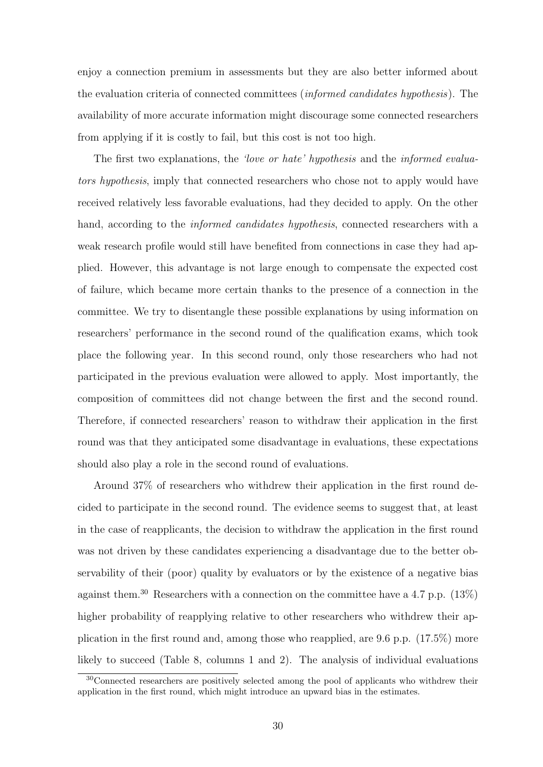enjoy a connection premium in assessments but they are also better informed about the evaluation criteria of connected committees (informed candidates hypothesis). The availability of more accurate information might discourage some connected researchers from applying if it is costly to fail, but this cost is not too high.

The first two explanations, the 'love or hate' hypothesis and the informed evaluators hypothesis, imply that connected researchers who chose not to apply would have received relatively less favorable evaluations, had they decided to apply. On the other hand, according to the *informed candidates hypothesis*, connected researchers with a weak research profile would still have benefited from connections in case they had applied. However, this advantage is not large enough to compensate the expected cost of failure, which became more certain thanks to the presence of a connection in the committee. We try to disentangle these possible explanations by using information on researchers' performance in the second round of the qualification exams, which took place the following year. In this second round, only those researchers who had not participated in the previous evaluation were allowed to apply. Most importantly, the composition of committees did not change between the first and the second round. Therefore, if connected researchers' reason to withdraw their application in the first round was that they anticipated some disadvantage in evaluations, these expectations should also play a role in the second round of evaluations.

Around 37% of researchers who withdrew their application in the first round decided to participate in the second round. The evidence seems to suggest that, at least in the case of reapplicants, the decision to withdraw the application in the first round was not driven by these candidates experiencing a disadvantage due to the better observability of their (poor) quality by evaluators or by the existence of a negative bias against them.<sup>30</sup> Researchers with a connection on the committee have a 4.7 p.p.  $(13\%)$ higher probability of reapplying relative to other researchers who withdrew their application in the first round and, among those who reapplied, are 9.6 p.p. (17.5%) more likely to succeed (Table 8, columns 1 and 2). The analysis of individual evaluations

<sup>&</sup>lt;sup>30</sup>Connected researchers are positively selected among the pool of applicants who withdrew their application in the first round, which might introduce an upward bias in the estimates.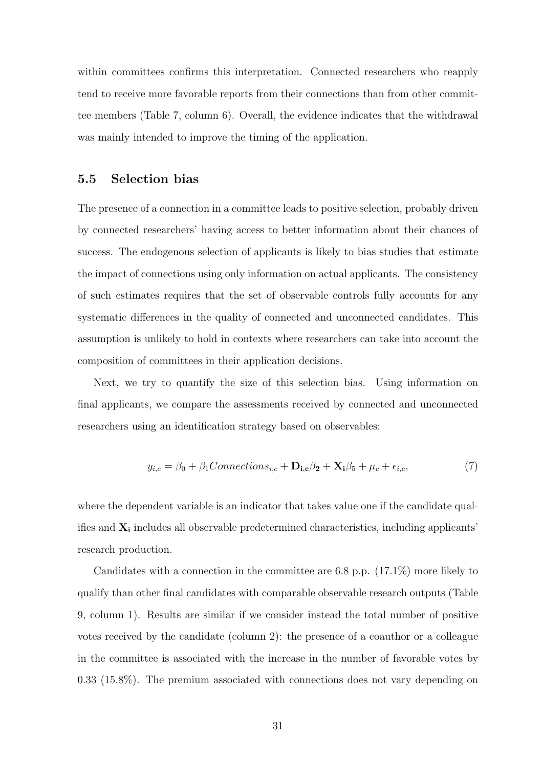within committees confirms this interpretation. Connected researchers who reapply tend to receive more favorable reports from their connections than from other committee members (Table 7, column 6). Overall, the evidence indicates that the withdrawal was mainly intended to improve the timing of the application.

### 5.5 Selection bias

The presence of a connection in a committee leads to positive selection, probably driven by connected researchers' having access to better information about their chances of success. The endogenous selection of applicants is likely to bias studies that estimate the impact of connections using only information on actual applicants. The consistency of such estimates requires that the set of observable controls fully accounts for any systematic differences in the quality of connected and unconnected candidates. This assumption is unlikely to hold in contexts where researchers can take into account the composition of committees in their application decisions.

Next, we try to quantify the size of this selection bias. Using information on final applicants, we compare the assessments received by connected and unconnected researchers using an identification strategy based on observables:

$$
y_{i,c} = \beta_0 + \beta_1 Connections_{i,c} + \mathbf{D}_{i,c}\beta_2 + \mathbf{X}_i\beta_5 + \mu_c + \epsilon_{i,c},\tag{7}
$$

where the dependent variable is an indicator that takes value one if the candidate qualifies and  $X_i$  includes all observable predetermined characteristics, including applicants' research production.

Candidates with a connection in the committee are 6.8 p.p. (17.1%) more likely to qualify than other final candidates with comparable observable research outputs (Table 9, column 1). Results are similar if we consider instead the total number of positive votes received by the candidate (column 2): the presence of a coauthor or a colleague in the committee is associated with the increase in the number of favorable votes by 0.33 (15.8%). The premium associated with connections does not vary depending on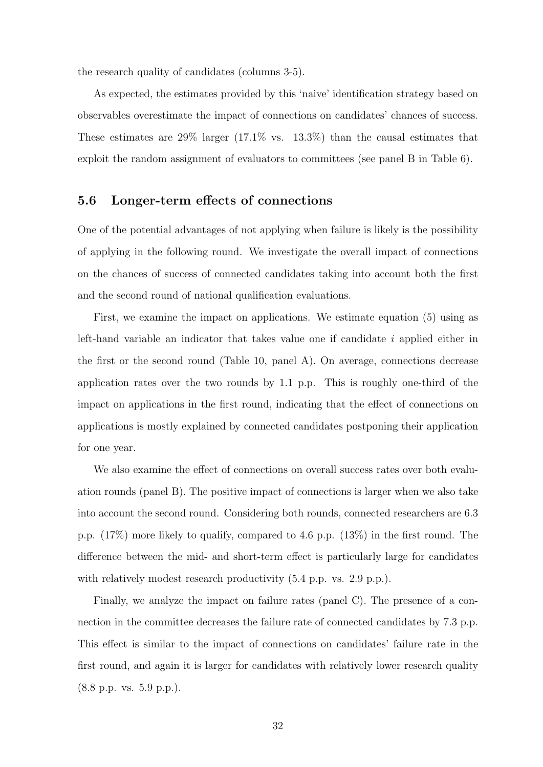the research quality of candidates (columns 3-5).

As expected, the estimates provided by this 'naive' identification strategy based on observables overestimate the impact of connections on candidates' chances of success. These estimates are  $29\%$  larger  $(17.1\%$  vs.  $13.3\%)$  than the causal estimates that exploit the random assignment of evaluators to committees (see panel B in Table 6).

# 5.6 Longer-term effects of connections

One of the potential advantages of not applying when failure is likely is the possibility of applying in the following round. We investigate the overall impact of connections on the chances of success of connected candidates taking into account both the first and the second round of national qualification evaluations.

First, we examine the impact on applications. We estimate equation (5) using as left-hand variable an indicator that takes value one if candidate  $i$  applied either in the first or the second round (Table 10, panel A). On average, connections decrease application rates over the two rounds by 1.1 p.p. This is roughly one-third of the impact on applications in the first round, indicating that the effect of connections on applications is mostly explained by connected candidates postponing their application for one year.

We also examine the effect of connections on overall success rates over both evaluation rounds (panel B). The positive impact of connections is larger when we also take into account the second round. Considering both rounds, connected researchers are 6.3 p.p. (17%) more likely to qualify, compared to 4.6 p.p. (13%) in the first round. The difference between the mid- and short-term effect is particularly large for candidates with relatively modest research productivity  $(5.4 \text{ p.p. vs. } 2.9 \text{ p.p.}).$ 

Finally, we analyze the impact on failure rates (panel C). The presence of a connection in the committee decreases the failure rate of connected candidates by 7.3 p.p. This effect is similar to the impact of connections on candidates' failure rate in the first round, and again it is larger for candidates with relatively lower research quality (8.8 p.p. vs. 5.9 p.p.).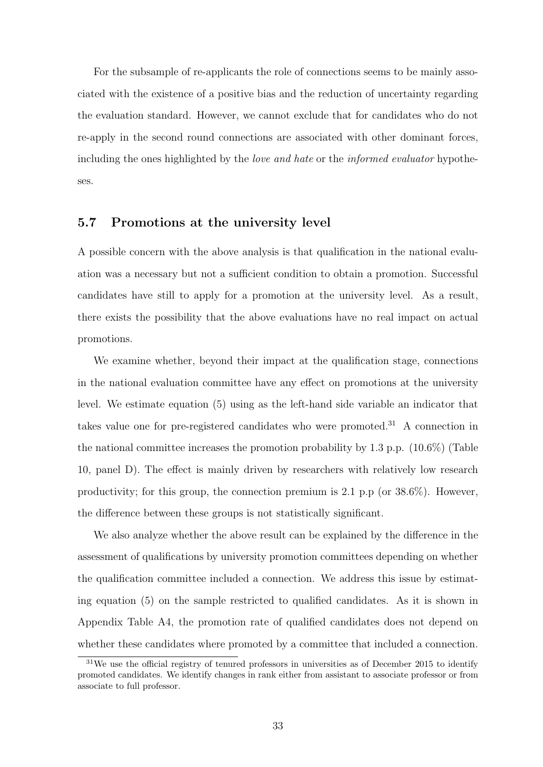For the subsample of re-applicants the role of connections seems to be mainly associated with the existence of a positive bias and the reduction of uncertainty regarding the evaluation standard. However, we cannot exclude that for candidates who do not re-apply in the second round connections are associated with other dominant forces, including the ones highlighted by the *love and hate* or the *informed evaluator* hypotheses.

# 5.7 Promotions at the university level

A possible concern with the above analysis is that qualification in the national evaluation was a necessary but not a sufficient condition to obtain a promotion. Successful candidates have still to apply for a promotion at the university level. As a result, there exists the possibility that the above evaluations have no real impact on actual promotions.

We examine whether, beyond their impact at the qualification stage, connections in the national evaluation committee have any effect on promotions at the university level. We estimate equation (5) using as the left-hand side variable an indicator that takes value one for pre-registered candidates who were promoted.<sup>31</sup> A connection in the national committee increases the promotion probability by 1.3 p.p. (10.6%) (Table 10, panel D). The effect is mainly driven by researchers with relatively low research productivity; for this group, the connection premium is 2.1 p.p (or  $38.6\%$ ). However, the difference between these groups is not statistically significant.

We also analyze whether the above result can be explained by the difference in the assessment of qualifications by university promotion committees depending on whether the qualification committee included a connection. We address this issue by estimating equation (5) on the sample restricted to qualified candidates. As it is shown in Appendix Table A4, the promotion rate of qualified candidates does not depend on whether these candidates where promoted by a committee that included a connection.

<sup>&</sup>lt;sup>31</sup>We use the official registry of tenured professors in universities as of December 2015 to identify promoted candidates. We identify changes in rank either from assistant to associate professor or from associate to full professor.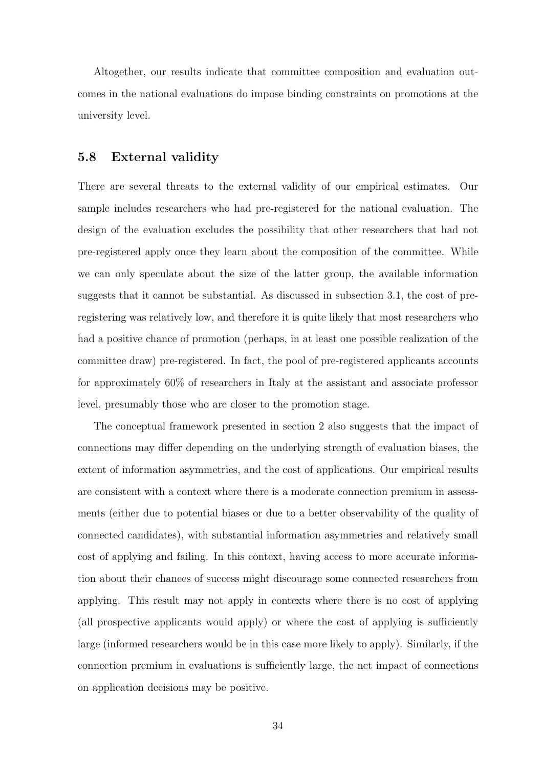Altogether, our results indicate that committee composition and evaluation outcomes in the national evaluations do impose binding constraints on promotions at the university level.

# 5.8 External validity

There are several threats to the external validity of our empirical estimates. Our sample includes researchers who had pre-registered for the national evaluation. The design of the evaluation excludes the possibility that other researchers that had not pre-registered apply once they learn about the composition of the committee. While we can only speculate about the size of the latter group, the available information suggests that it cannot be substantial. As discussed in subsection 3.1, the cost of preregistering was relatively low, and therefore it is quite likely that most researchers who had a positive chance of promotion (perhaps, in at least one possible realization of the committee draw) pre-registered. In fact, the pool of pre-registered applicants accounts for approximately 60% of researchers in Italy at the assistant and associate professor level, presumably those who are closer to the promotion stage.

The conceptual framework presented in section 2 also suggests that the impact of connections may differ depending on the underlying strength of evaluation biases, the extent of information asymmetries, and the cost of applications. Our empirical results are consistent with a context where there is a moderate connection premium in assessments (either due to potential biases or due to a better observability of the quality of connected candidates), with substantial information asymmetries and relatively small cost of applying and failing. In this context, having access to more accurate information about their chances of success might discourage some connected researchers from applying. This result may not apply in contexts where there is no cost of applying (all prospective applicants would apply) or where the cost of applying is sufficiently large (informed researchers would be in this case more likely to apply). Similarly, if the connection premium in evaluations is sufficiently large, the net impact of connections on application decisions may be positive.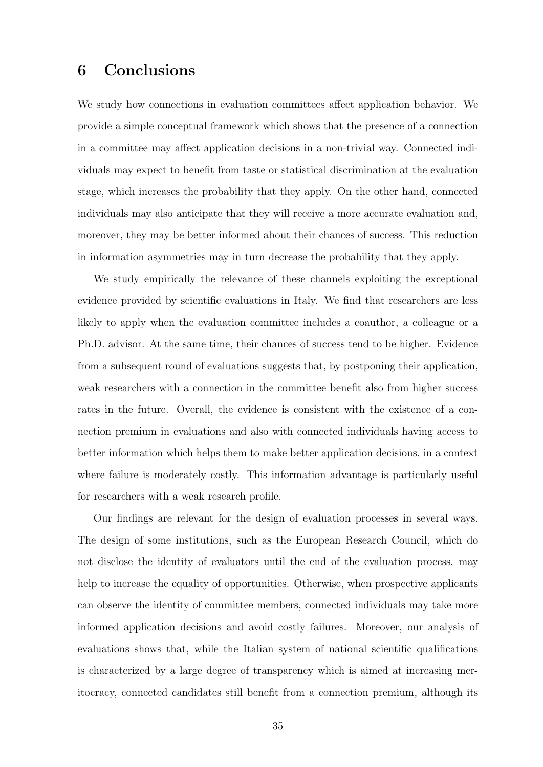# 6 Conclusions

We study how connections in evaluation committees affect application behavior. We provide a simple conceptual framework which shows that the presence of a connection in a committee may affect application decisions in a non-trivial way. Connected individuals may expect to benefit from taste or statistical discrimination at the evaluation stage, which increases the probability that they apply. On the other hand, connected individuals may also anticipate that they will receive a more accurate evaluation and, moreover, they may be better informed about their chances of success. This reduction in information asymmetries may in turn decrease the probability that they apply.

We study empirically the relevance of these channels exploiting the exceptional evidence provided by scientific evaluations in Italy. We find that researchers are less likely to apply when the evaluation committee includes a coauthor, a colleague or a Ph.D. advisor. At the same time, their chances of success tend to be higher. Evidence from a subsequent round of evaluations suggests that, by postponing their application, weak researchers with a connection in the committee benefit also from higher success rates in the future. Overall, the evidence is consistent with the existence of a connection premium in evaluations and also with connected individuals having access to better information which helps them to make better application decisions, in a context where failure is moderately costly. This information advantage is particularly useful for researchers with a weak research profile.

Our findings are relevant for the design of evaluation processes in several ways. The design of some institutions, such as the European Research Council, which do not disclose the identity of evaluators until the end of the evaluation process, may help to increase the equality of opportunities. Otherwise, when prospective applicants can observe the identity of committee members, connected individuals may take more informed application decisions and avoid costly failures. Moreover, our analysis of evaluations shows that, while the Italian system of national scientific qualifications is characterized by a large degree of transparency which is aimed at increasing meritocracy, connected candidates still benefit from a connection premium, although its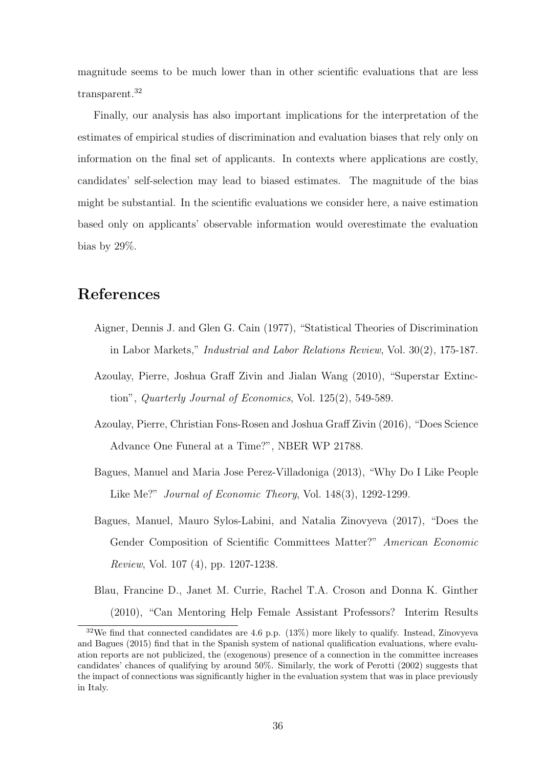magnitude seems to be much lower than in other scientific evaluations that are less transparent.<sup>32</sup>

Finally, our analysis has also important implications for the interpretation of the estimates of empirical studies of discrimination and evaluation biases that rely only on information on the final set of applicants. In contexts where applications are costly, candidates' self-selection may lead to biased estimates. The magnitude of the bias might be substantial. In the scientific evaluations we consider here, a naive estimation based only on applicants' observable information would overestimate the evaluation bias by 29%.

# References

- Aigner, Dennis J. and Glen G. Cain (1977), "Statistical Theories of Discrimination in Labor Markets," Industrial and Labor Relations Review, Vol. 30(2), 175-187.
- Azoulay, Pierre, Joshua Graff Zivin and Jialan Wang (2010), "Superstar Extinction", Quarterly Journal of Economics, Vol. 125(2), 549-589.
- Azoulay, Pierre, Christian Fons-Rosen and Joshua Graff Zivin (2016), "Does Science Advance One Funeral at a Time?", NBER WP 21788.
- Bagues, Manuel and Maria Jose Perez-Villadoniga (2013), "Why Do I Like People Like Me?" Journal of Economic Theory, Vol. 148(3), 1292-1299.
- Bagues, Manuel, Mauro Sylos-Labini, and Natalia Zinovyeva (2017), "Does the Gender Composition of Scientific Committees Matter?" American Economic Review, Vol. 107 (4), pp. 1207-1238.
- Blau, Francine D., Janet M. Currie, Rachel T.A. Croson and Donna K. Ginther (2010), "Can Mentoring Help Female Assistant Professors? Interim Results

 $32\text{We find that connected candidates are 4.6 p.p. (13%) more likely to qualify. Instead, Zinovyeva}$ and Bagues (2015) find that in the Spanish system of national qualification evaluations, where evaluation reports are not publicized, the (exogenous) presence of a connection in the committee increases candidates' chances of qualifying by around 50%. Similarly, the work of Perotti (2002) suggests that the impact of connections was significantly higher in the evaluation system that was in place previously in Italy.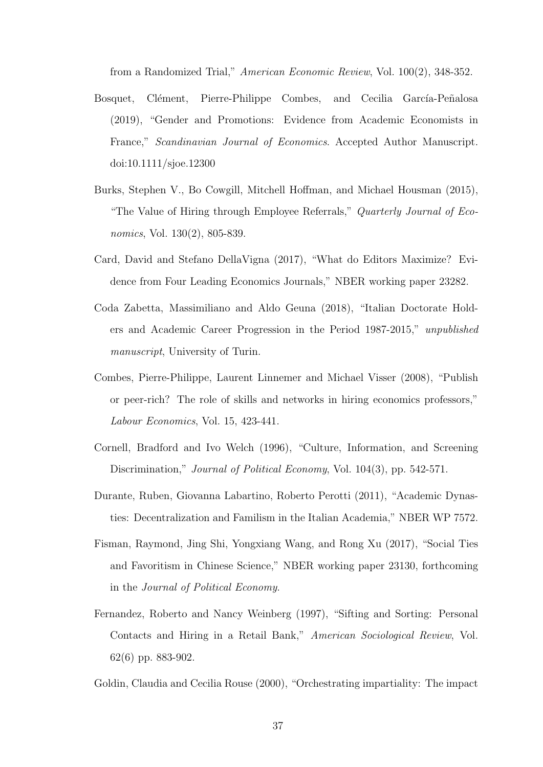from a Randomized Trial," American Economic Review, Vol. 100(2), 348-352.

- Bosquet, Clément, Pierre-Philippe Combes, and Cecilia García-Peñalosa (2019), "Gender and Promotions: Evidence from Academic Economists in France," Scandinavian Journal of Economics. Accepted Author Manuscript. doi:10.1111/sjoe.12300
- Burks, Stephen V., Bo Cowgill, Mitchell Hoffman, and Michael Housman (2015), "The Value of Hiring through Employee Referrals," Quarterly Journal of Economics, Vol. 130(2), 805-839.
- Card, David and Stefano DellaVigna (2017), "What do Editors Maximize? Evidence from Four Leading Economics Journals," NBER working paper 23282.
- Coda Zabetta, Massimiliano and Aldo Geuna (2018), "Italian Doctorate Holders and Academic Career Progression in the Period 1987-2015," unpublished manuscript, University of Turin.
- Combes, Pierre-Philippe, Laurent Linnemer and Michael Visser (2008), "Publish or peer-rich? The role of skills and networks in hiring economics professors," Labour Economics, Vol. 15, 423-441.
- Cornell, Bradford and Ivo Welch (1996), "Culture, Information, and Screening Discrimination," *Journal of Political Economy*, Vol. 104(3), pp. 542-571.
- Durante, Ruben, Giovanna Labartino, Roberto Perotti (2011), "Academic Dynasties: Decentralization and Familism in the Italian Academia," NBER WP 7572.
- Fisman, Raymond, Jing Shi, Yongxiang Wang, and Rong Xu (2017), "Social Ties and Favoritism in Chinese Science," NBER working paper 23130, forthcoming in the Journal of Political Economy.
- Fernandez, Roberto and Nancy Weinberg (1997), "Sifting and Sorting: Personal Contacts and Hiring in a Retail Bank," American Sociological Review, Vol. 62(6) pp. 883-902.
- Goldin, Claudia and Cecilia Rouse (2000), "Orchestrating impartiality: The impact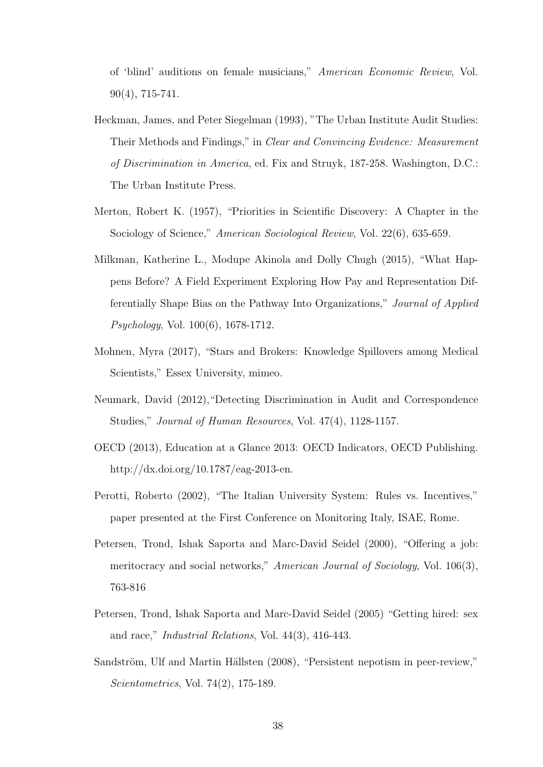of 'blind' auditions on female musicians," American Economic Review, Vol. 90(4), 715-741.

- Heckman, James, and Peter Siegelman (1993), "The Urban Institute Audit Studies: Their Methods and Findings," in Clear and Convincing Evidence: Measurement of Discrimination in America, ed. Fix and Struyk, 187-258. Washington, D.C.: The Urban Institute Press.
- Merton, Robert K. (1957), "Priorities in Scientific Discovery: A Chapter in the Sociology of Science," American Sociological Review, Vol. 22(6), 635-659.
- Milkman, Katherine L., Modupe Akinola and Dolly Chugh (2015), "What Happens Before? A Field Experiment Exploring How Pay and Representation Differentially Shape Bias on the Pathway Into Organizations," Journal of Applied Psychology, Vol. 100(6), 1678-1712.
- Mohnen, Myra (2017), "Stars and Brokers: Knowledge Spillovers among Medical Scientists," Essex University, mimeo.
- Neumark, David (2012),"Detecting Discrimination in Audit and Correspondence Studies," Journal of Human Resources, Vol. 47(4), 1128-1157.
- OECD (2013), Education at a Glance 2013: OECD Indicators, OECD Publishing. http://dx.doi.org/10.1787/eag-2013-en.
- Perotti, Roberto (2002), "The Italian University System: Rules vs. Incentives," paper presented at the First Conference on Monitoring Italy, ISAE, Rome.
- Petersen, Trond, Ishak Saporta and Marc-David Seidel (2000), "Offering a job: meritocracy and social networks," American Journal of Sociology, Vol. 106(3), 763-816
- Petersen, Trond, Ishak Saporta and Marc-David Seidel (2005) "Getting hired: sex and race," Industrial Relations, Vol. 44(3), 416-443.
- Sandström, Ulf and Martin Hällsten (2008), "Persistent nepotism in peer-review," Scientometrics, Vol. 74(2), 175-189.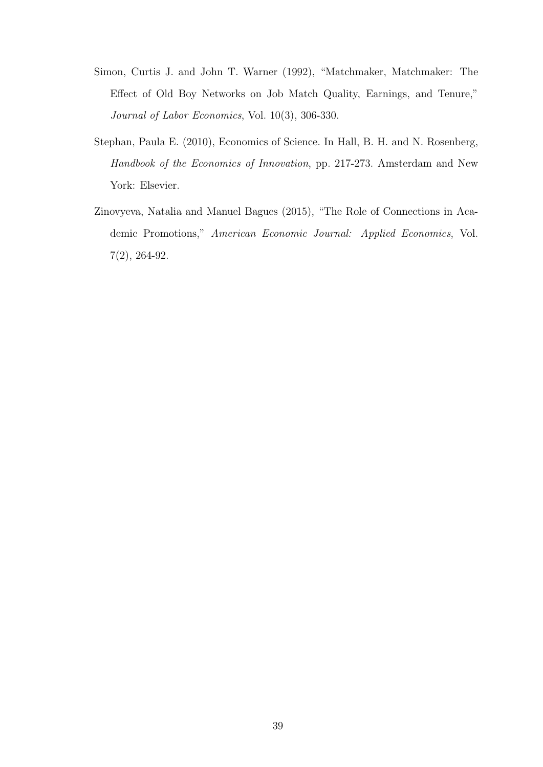- Simon, Curtis J. and John T. Warner (1992), "Matchmaker, Matchmaker: The Effect of Old Boy Networks on Job Match Quality, Earnings, and Tenure," Journal of Labor Economics, Vol. 10(3), 306-330.
- Stephan, Paula E. (2010), Economics of Science. In Hall, B. H. and N. Rosenberg, Handbook of the Economics of Innovation, pp. 217-273. Amsterdam and New York: Elsevier.
- Zinovyeva, Natalia and Manuel Bagues (2015), "The Role of Connections in Academic Promotions," American Economic Journal: Applied Economics, Vol. 7(2), 264-92.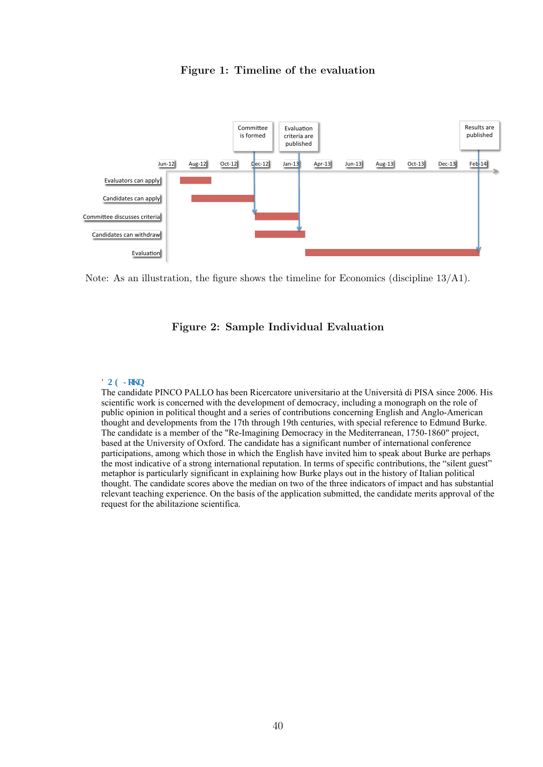

### Figure 1: Timeline of the evaluation

Note: As an illustration, the figure shows the timeline for Economics (discipline 13/A1).

### Figure 2: Sample Individual Evaluation

#### $\bf FQGLq\bf j$ **p**

The candidate PINCO PALLO has been Ricercatore universitario at the Università di PISA since 2006. His scientific work is concerned with the development of democracy, including a monograph on the role of public opinion in political thought and a series of contributions concerning English and Anglo-American thought and developments from the 17th through 19th centuries, with special reference to Edmund Burke. The candidate is a member of the "Re-Imagining Democracy in the Mediterranean, 1750-1860" project, based at the University of Oxford. The candidate has a significant number of international conference participations, among which those in which the English have invited him to speak about Burke are perhaps the most indicative of a strong international reputation. In terms of specific contributions, the "silent guest" metaphor is particularly significant in explaining how Burke plays out in the history of Italian political thought. The candidate scores above the median on two of the three indicators of impact and has substantial relevant teaching experience. On the basis of the application submitted, the candidate merits approval of the request for the abilitazione scientifica.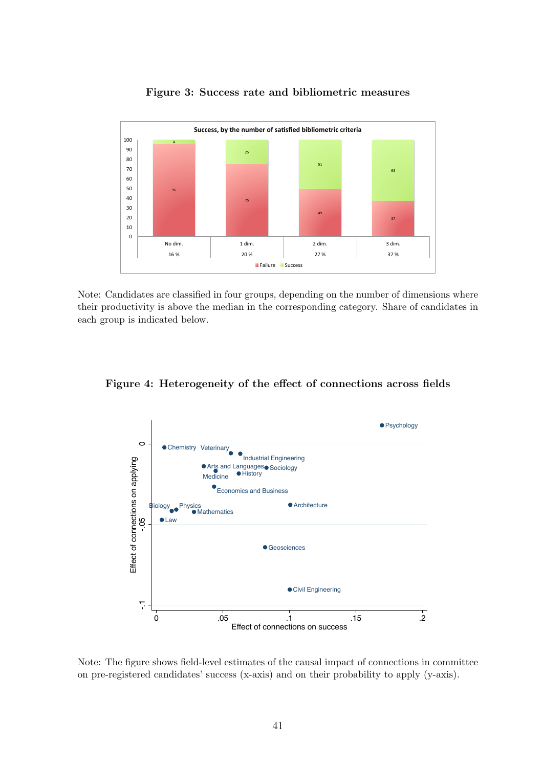

Figure 3: Success rate and bibliometric measures

Note: Candidates are classified in four groups, depending on the number of dimensions where their productivity is above the median in the corresponding category. Share of candidates in each group is indicated below.

Figure 4: Heterogeneity of the effect of connections across fields



Note: The figure shows field-level estimates of the causal impact of connections in committee on pre-registered candidates' success (x-axis) and on their probability to apply (y-axis).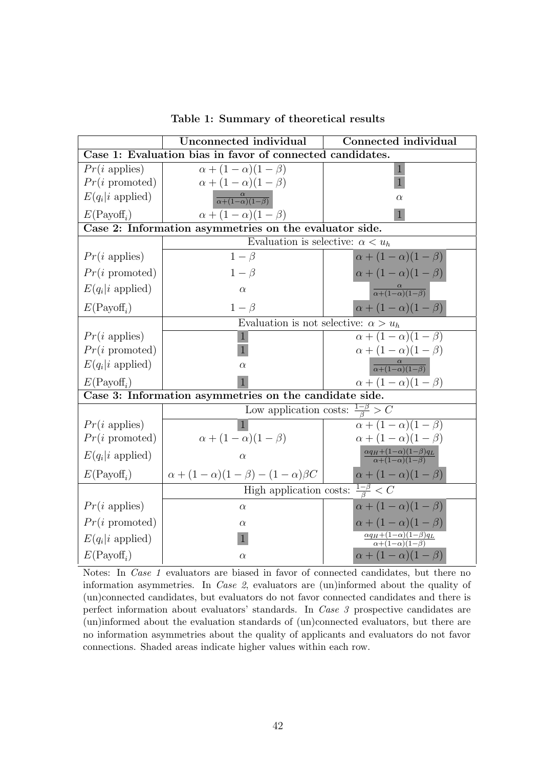|                                                     | Unconnected individual                                    | <b>Connected individual</b>                                                |  |  |  |  |  |  |  |
|-----------------------------------------------------|-----------------------------------------------------------|----------------------------------------------------------------------------|--|--|--|--|--|--|--|
|                                                     | Case 1: Evaluation bias in favor of connected candidates. |                                                                            |  |  |  |  |  |  |  |
| $Pr(i \text{ applies})$                             | $\alpha + (1 - \alpha)(1 - \beta)$                        |                                                                            |  |  |  |  |  |  |  |
| $Pr(i \text{ promoted})$                            | $\alpha + (1 - \alpha)(1 - \beta)$                        |                                                                            |  |  |  |  |  |  |  |
| $E(q_i i \text{ applied})$                          | $\frac{\alpha}{\alpha+(1-\alpha)(1-\beta)}$               | $\alpha$                                                                   |  |  |  |  |  |  |  |
| $E(\text{Payoff}_i)$                                | $\alpha + (1 - \alpha)(1 - \beta)$                        | $\mathbf{1}$                                                               |  |  |  |  |  |  |  |
|                                                     | Case 2: Information asymmetries on the evaluator side.    |                                                                            |  |  |  |  |  |  |  |
|                                                     | Evaluation is selective: $\alpha < u_h$                   |                                                                            |  |  |  |  |  |  |  |
| $Pr(i \text{ applies})$                             | $1-\beta$                                                 | $\alpha + (1 - \alpha)(1 - \beta)$                                         |  |  |  |  |  |  |  |
| $Pr(i \text{ promoted})$                            | $1-\beta$                                                 | $\alpha + (1 - \alpha)(1 - \beta)$                                         |  |  |  |  |  |  |  |
| $E(q_i i \text{ applied})$                          | $\alpha$                                                  | $\frac{\alpha}{\alpha+(1-\alpha)(1-\beta)}$                                |  |  |  |  |  |  |  |
| $E(\text{Payoff}_i)$                                | $1-\beta$                                                 | $\alpha + (1 - \alpha)(1 - \beta)$                                         |  |  |  |  |  |  |  |
|                                                     | Evaluation is not selective: $\alpha > u_h$               |                                                                            |  |  |  |  |  |  |  |
| $Pr(i \text{ applies})$                             | 1                                                         | $\alpha + (1-\alpha)(1-\beta)$                                             |  |  |  |  |  |  |  |
| $Pr(i \text{ promoted})$                            |                                                           | $\alpha + (1 - \alpha)(1 - \beta)$                                         |  |  |  |  |  |  |  |
| $E(q_i i \text{ applied})$                          | $\alpha$                                                  | $\frac{\alpha}{\alpha+(1-\alpha)(1-\beta)}$                                |  |  |  |  |  |  |  |
| $E(\text{Payoff}_i)$                                |                                                           | $\alpha + (1 - \alpha)(1 - \beta)$                                         |  |  |  |  |  |  |  |
|                                                     | Case 3: Information asymmetries on the candidate side.    |                                                                            |  |  |  |  |  |  |  |
|                                                     | Low application costs: $\frac{1-\beta}{\beta} > C$        |                                                                            |  |  |  |  |  |  |  |
| $Pr(i \text{ applies})$                             |                                                           | $\alpha + (1 - \alpha)(1 - \beta)$                                         |  |  |  |  |  |  |  |
| $Pr(i \text{ promoted})$                            | $\alpha + (1 - \alpha)(1 - \beta)$                        | $\alpha + (1 - \alpha)(1 - \beta)$                                         |  |  |  |  |  |  |  |
| $E(q_i i \text{ applied})$                          | $\alpha$                                                  | $\frac{\alpha q_H + (1-\alpha)(1-\beta)q_L}{\alpha + (1-\alpha)(1-\beta)}$ |  |  |  |  |  |  |  |
| $E(\text{Payoff}_i)$                                | $\alpha + (1 - \alpha)(1 - \beta) - (1 - \alpha)\beta C$  | $\alpha + (1 - \alpha)(1 - \beta)$                                         |  |  |  |  |  |  |  |
| High application costs: $\frac{1-\beta}{\beta} < C$ |                                                           |                                                                            |  |  |  |  |  |  |  |
| $Pr(i \text{ applies})$                             | $\alpha$                                                  | $\alpha + (1 - \alpha)(1 - \beta)$                                         |  |  |  |  |  |  |  |
| $Pr(i \text{ promoted})$                            | $\alpha$                                                  | $\alpha + (1 - \alpha)(1 - \beta)$                                         |  |  |  |  |  |  |  |
| $E(q_i i \text{ applied})$                          | ш                                                         | $\frac{\alpha q_H + (1-\alpha)(1-\beta)q_L}{\alpha + (1-\alpha)(1-\beta)}$ |  |  |  |  |  |  |  |
| $E(\text{Payoff}_i)$                                | $\alpha$                                                  | $\alpha + (1 - \alpha)(1 - \beta)$                                         |  |  |  |  |  |  |  |

Table 1: Summary of theoretical results

Notes: In *Case 1* evaluators are biased in favor of connected candidates, but there no information asymmetries. In Case 2, evaluators are (un)informed about the quality of (un)connected candidates, but evaluators do not favor connected candidates and there is perfect information about evaluators' standards. In Case 3 prospective candidates are (un)informed about the evaluation standards of (un)connected evaluators, but there are no information asymmetries about the quality of applicants and evaluators do not favor connections. Shaded areas indicate higher values within each row.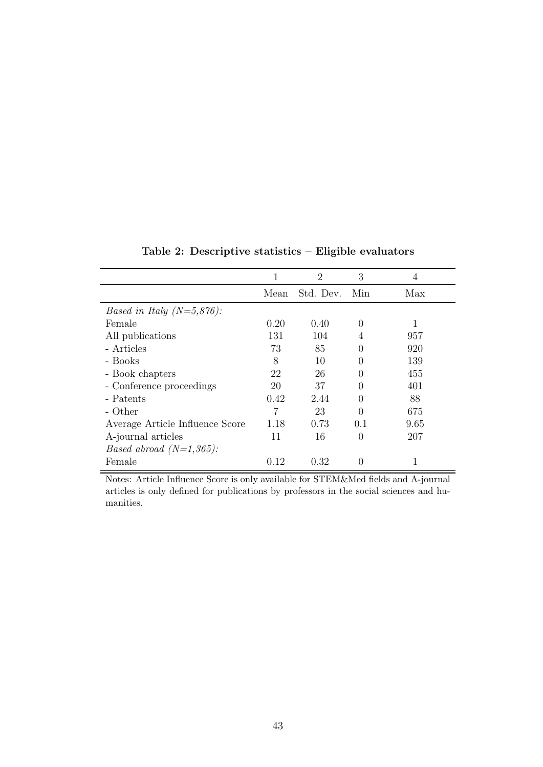|                                             | 1    | $\overline{2}$ | 3                | 4    |
|---------------------------------------------|------|----------------|------------------|------|
|                                             | Mean | Std. Dev.      | Min              | Max  |
| <i>Based in Italy (N=5,876):</i>            |      |                |                  |      |
| Female                                      | 0.20 | 0.40           | $\Omega$         |      |
| All publications                            | 131  | 104            | 4                | 957  |
| - Articles                                  | 73   | 85             | 0                | 920  |
| - Books                                     | 8    | 10             | 0                | 139  |
| - Book chapters                             | 22   | 26             | 0                | 455  |
| - Conference proceedings                    | 20   | 37             | $\Omega$         | 401  |
| - Patents                                   | 0.42 | 2.44           | 0                | 88   |
| - Other                                     |      | 23             | 0                | 675  |
| Average Article Influence Score             | 1.18 | 0.73           | 0.1              | 9.65 |
| A-journal articles                          | 11   | 16             | $\Omega$         | 207  |
| <i>Based abroad <math>(N=1,365)</math>:</i> |      |                |                  |      |
| Female                                      | 0.12 | 0.32           | $\left( \right)$ |      |
|                                             |      |                |                  |      |

Table 2: Descriptive statistics – Eligible evaluators

Notes: Article Influence Score is only available for STEM&Med fields and A-journal articles is only defined for publications by professors in the social sciences and humanities.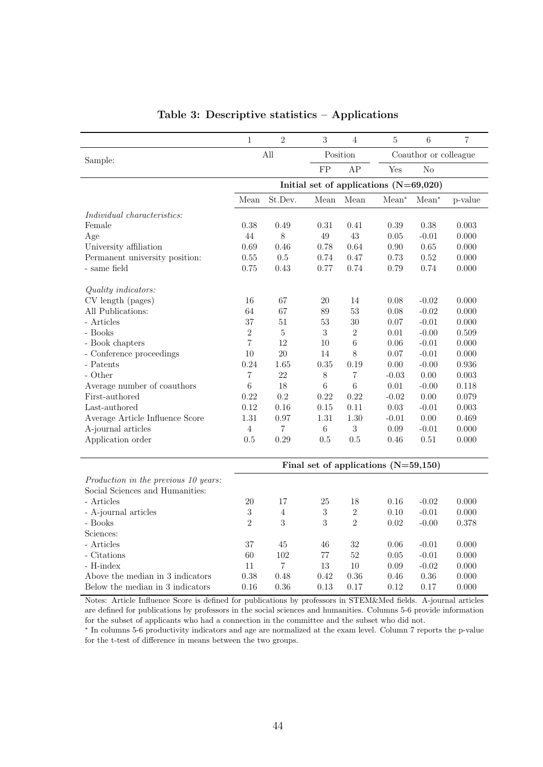|                                      | $\mathbf{1}$   | $\overline{2}$ | 3          | $\overline{4}$ | 5                                        | 6                     | $\overline{7}$ |
|--------------------------------------|----------------|----------------|------------|----------------|------------------------------------------|-----------------------|----------------|
|                                      | All            |                |            | Position       |                                          | Coauthor or colleague |                |
| Sample:                              |                |                | FP         | AP             | Yes                                      | No                    |                |
|                                      |                |                |            |                |                                          |                       |                |
|                                      |                |                |            |                | Initial set of applications $(N=69,020)$ |                       |                |
|                                      | Mean           | St.Dev.        | Mean       | Mean           | $Mean^*$                                 | $Mean^*$              | p-value        |
| Individual characteristics:          |                |                |            |                |                                          |                       |                |
| Female                               | 0.38           | 0.49           | 0.31       | 0.41           | 0.39                                     | 0.38                  | 0.003          |
| Age                                  | 44             | $8\,$          | 49         | 43             | 0.05                                     | $-0.01$               | 0.000          |
| University affiliation               | 0.69           | 0.46           | 0.78       | 0.64           | 0.90                                     | 0.65                  | 0.000          |
| Permanent university position:       | 0.55           | 0.5            | 0.74       | 0.47           | 0.73                                     | 0.52                  | 0.000          |
| - same field                         | 0.75           | 0.43           | 0.77       | 0.74           | 0.79                                     | 0.74                  | 0.000          |
|                                      |                |                |            |                |                                          |                       |                |
| Quality indicators:                  |                |                |            |                |                                          |                       |                |
| CV length (pages)                    | 16             | 67             | 20         | 14             | 0.08                                     | $-0.02$               | 0.000          |
| All Publications:                    | 64             | 67             | 89         | 53             | 0.08                                     | $-0.02$               | 0.000          |
| - Articles                           | 37             | 51             | 53         | 30             | 0.07                                     | $-0.01$               | 0.000          |
| - Books                              | $\overline{2}$ | 5              | 3          | $\overline{2}$ | 0.01                                     | $-0.00$               | 0.509          |
| - Book chapters                      | $\overline{7}$ | 12             | 10         | 6              | 0.06                                     | $-0.01$               | 0.000          |
| - Conference proceedings             | 10             | 20             | 14         | 8              | 0.07                                     | $-0.01$               | 0.000          |
| - Patents                            | 0.24           | 1.65           | 0.35       | 0.19           | 0.00                                     | $-0.00$               | 0.936          |
| - Other                              | $\overline{7}$ | 22             | 8          | 7              | $-0.03$                                  | 0.00                  | 0.003          |
| Average number of coauthors          | $\,6$          | 18             | $\,6\,$    | $\,6$          | 0.01                                     | $-0.00$               | 0.118          |
| First-authored                       | 0.22           | 0.2            | 0.22       | 0.22           | $-0.02$                                  | 0.00                  | 0.079          |
| Last-authored                        | 0.12           | 0.16           | 0.15       | 0.11           | 0.03                                     | $-0.01$               | 0.003          |
| Average Article Influence Score      | 1.31           | 0.97           | 1.31       | 1.30           | $-0.01$                                  | 0.00                  | 0.469          |
| A-journal articles                   | 4              | 7              | 6          | 3              | 0.09                                     | $-0.01$               | 0.000          |
| Application order                    | 0.5            | 0.29           | 0.5        | 0.5            | 0.46                                     | 0.51                  | 0.000          |
|                                      |                |                |            |                |                                          |                       |                |
|                                      |                |                |            |                | Final set of applications $(N=59,150)$   |                       |                |
| Production in the previous 10 years: |                |                |            |                |                                          |                       |                |
| Social Sciences and Humanities:      |                |                |            |                |                                          |                       |                |
| - Articles                           | 20             | 17             | 25         | 18             | 0.16                                     | $-0.02$               | 0.000          |
| - A-journal articles                 | $\sqrt{3}$     | $\overline{4}$ | $\sqrt{3}$ | $\sqrt{2}$     | 0.10                                     | $-0.01$               | 0.000          |
| - Books                              | $\overline{2}$ | 3              | 3          | $\overline{2}$ | 0.02                                     | $-0.00$               | 0.378          |
| Sciences:                            |                |                |            |                |                                          |                       |                |
| - Articles                           | 37             | 45             | 46         | 32             | 0.06                                     | $-0.01$               | 0.000          |
| - Citations                          | 60             | 102            | 77         | 52             | 0.05                                     | $-0.01$               | 0.000          |
| - H-index                            | 11             | 7              | 13         | 10             | 0.09                                     | $-0.02$               | 0.000          |
| Above the median in 3 indicators     | 0.38           | 0.48           | 0.42       | 0.36           | 0.46                                     | 0.36                  | 0.000          |
| Below the median in 3 indicators     | 0.16           | 0.36           | 0.13       | 0.17           | 0.12                                     | 0.17                  | 0.000          |

# Table 3: Descriptive statistics – Applications

Notes: Article Influence Score is defined for publications by professors in STEM&Med fields. A-journal articles are defined for publications by professors in the social sciences and humanities. Columns 5-6 provide information for the subset of applicants who had a connection in the committee and the subset who did not.

∗ In columns 5-6 productivity indicators and age are normalized at the exam level. Column 7 reports the p-value for the t-test of difference in means between the two groups.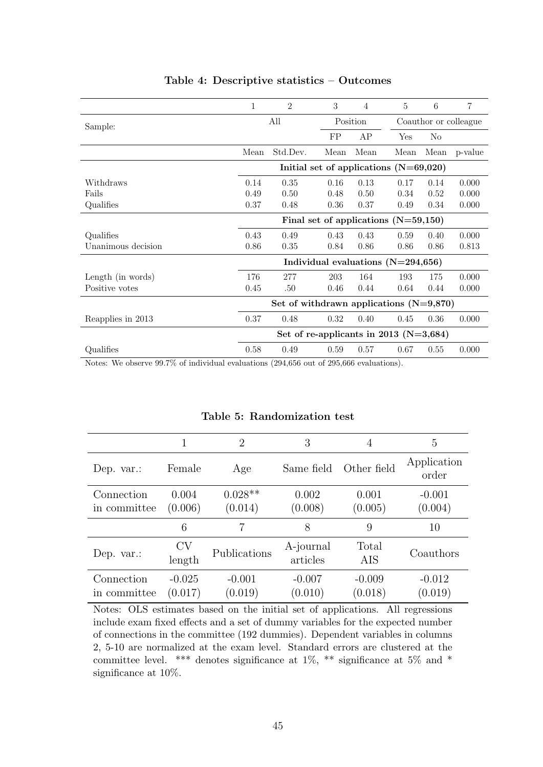|                    | 1                                          | $\overline{2}$                           | 3    | $\overline{4}$                       | 5    | 6                     | $\overline{7}$ |
|--------------------|--------------------------------------------|------------------------------------------|------|--------------------------------------|------|-----------------------|----------------|
| Sample:            |                                            | All                                      |      | Position                             |      | Coauthor or colleague |                |
|                    |                                            |                                          | FP   | AP                                   | Yes  | N <sub>0</sub>        |                |
|                    | Mean                                       | Std.Dev.                                 | Mean | Mean                                 | Mean | Mean                  | p-value        |
|                    |                                            | Initial set of applications $(N=69,020)$ |      |                                      |      |                       |                |
| Withdraws          | 0.14                                       | 0.35                                     | 0.16 | 0.13                                 | 0.17 | 0.14                  | 0.000          |
| Fails              | 0.49                                       | 0.50                                     | 0.48 | 0.50                                 | 0.34 | 0.52                  | 0.000          |
| Qualifies          | 0.37                                       | 0.48                                     | 0.36 | 0.37                                 | 0.49 | 0.34                  | 0.000          |
|                    | Final set of applications $(N=59,150)$     |                                          |      |                                      |      |                       |                |
| Qualifies          | 0.43                                       | 0.49                                     | 0.43 | 0.43                                 | 0.59 | 0.40                  | 0.000          |
| Unanimous decision | 0.86                                       | 0.35                                     | 0.84 | 0.86                                 | 0.86 | 0.86                  | 0.813          |
|                    |                                            |                                          |      | Individual evaluations $(N=294,656)$ |      |                       |                |
| Length (in words)  | 176                                        | 277                                      | 203  | 164                                  | 193  | 175                   | 0.000          |
| Positive votes     | 0.45                                       | .50                                      | 0.46 | 0.44                                 | 0.64 | 0.44                  | 0.000          |
|                    | Set of withdrawn applications $(N=9,870)$  |                                          |      |                                      |      |                       |                |
| Reapplies in 2013  | 0.37                                       | 0.48                                     | 0.32 | 0.40                                 | 0.45 | 0.36                  | 0.000          |
|                    | Set of re-applicants in 2013 ( $N=3,684$ ) |                                          |      |                                      |      |                       |                |
| Qualifies          | 0.58                                       | 0.49                                     | 0.59 | 0.57                                 | 0.67 | 0.55                  | 0.000          |

### Table 4: Descriptive statistics – Outcomes

Notes: We observe 99.7% of individual evaluations (294,656 out of 295,666 evaluations).

|                            |                     | $\overline{2}$       | 3                     | 4                   | 5                    |
|----------------------------|---------------------|----------------------|-----------------------|---------------------|----------------------|
| Dep. $var$ :               | Female              | Age                  | Same field            | Other field         | Application<br>order |
| Connection<br>in committee | 0.004<br>(0.006)    | $0.028**$<br>(0.014) | 0.002<br>(0.008)      | 0.001<br>(0.005)    | $-0.001$<br>(0.004)  |
|                            | 6                   | 7                    | 8                     | 9                   | 10                   |
| Dep. $var$ :               | CV<br>length        | Publications         | A-journal<br>articles | Total<br>AIS        | Coauthors            |
| Connection<br>in committee | $-0.025$<br>(0.017) | $-0.001$<br>(0.019)  | $-0.007$<br>(0.010)   | $-0.009$<br>(0.018) | $-0.012$<br>(0.019)  |

# Table 5: Randomization test

Notes: OLS estimates based on the initial set of applications. All regressions include exam fixed effects and a set of dummy variables for the expected number of connections in the committee (192 dummies). Dependent variables in columns 2, 5-10 are normalized at the exam level. Standard errors are clustered at the committee level. \*\*\* denotes significance at  $1\%$ , \*\* significance at  $5\%$  and \* significance at 10%.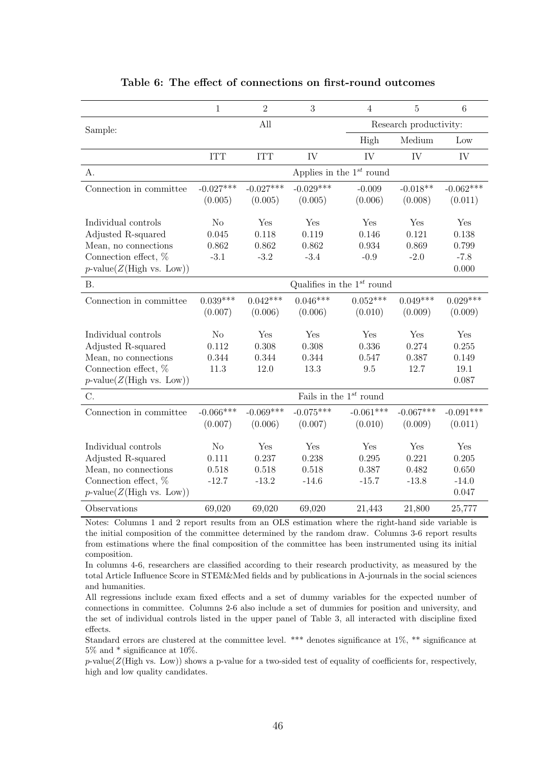|                             | $\mathbf{1}$   | $\overline{2}$ | 3           | $\overline{4}$                  | $\overline{5}$         | $6\phantom{.}6$ |
|-----------------------------|----------------|----------------|-------------|---------------------------------|------------------------|-----------------|
| Sample:                     |                | All            |             |                                 | Research productivity: |                 |
|                             |                |                |             | High                            | Medium                 | Low             |
|                             | <b>ITT</b>     | <b>ITT</b>     | IV          | IV                              | IV                     | IV              |
| A.                          |                |                |             | Applies in the $1^{st}$ round   |                        |                 |
| Connection in committee     | $-0.027***$    | $-0.027***$    | $-0.029***$ | $-0.009$                        | $-0.018**$             | $-0.062***$     |
|                             | (0.005)        | (0.005)        | (0.005)     | (0.006)                         | (0.008)                | (0.011)         |
| Individual controls         | No             | Yes            | Yes         | Yes                             | Yes                    | Yes             |
| Adjusted R-squared          | 0.045          | 0.118          | 0.119       | 0.146                           | 0.121                  | 0.138           |
| Mean, no connections        | 0.862          | 0.862          | 0.862       | 0.934                           | 0.869                  | 0.799           |
| Connection effect, %        | $-3.1$         | $-3.2$         | $-3.4$      | $-0.9$                          | $-2.0$                 | $-7.8$          |
| $p$ -value(Z(High vs. Low)) |                |                |             |                                 |                        | 0.000           |
| <b>B.</b>                   |                |                |             | Qualifies in the $1^{st}$ round |                        |                 |
| Connection in committee     | $0.039***$     | $0.042***$     | $0.046***$  | $0.052***$                      | $0.049***$             | $0.029***$      |
|                             | (0.007)        | (0.006)        | (0.006)     | (0.010)                         | (0.009)                | (0.009)         |
| Individual controls         | N <sub>o</sub> | Yes            | Yes         | Yes                             | Yes                    | Yes             |
| Adjusted R-squared          | 0.112          | 0.308          | 0.308       | 0.336                           | 0.274                  | 0.255           |
| Mean, no connections        | 0.344          | 0.344          | 0.344       | 0.547                           | 0.387                  | 0.149           |
| Connection effect, %        | 11.3           | 12.0           | 13.3        | 9.5                             | 12.7                   | 19.1            |
| $p$ -value(Z(High vs. Low)) |                |                |             |                                 |                        | 0.087           |
| C.                          |                |                |             | Fails in the $1^{st}$ round     |                        |                 |
| Connection in committee     | $-0.066***$    | $-0.069***$    | $-0.075***$ | $-0.061***$                     | $-0.067***$            | $-0.091***$     |
|                             | (0.007)        | (0.006)        | (0.007)     | (0.010)                         | (0.009)                | (0.011)         |
| Individual controls         | No             | Yes            | Yes         | Yes                             | Yes                    | Yes             |
| Adjusted R-squared          | 0.111          | 0.237          | 0.238       | 0.295                           | 0.221                  | 0.205           |
| Mean, no connections        | 0.518          | 0.518          | 0.518       | 0.387                           | 0.482                  | 0.650           |
| Connection effect, %        | $-12.7$        | $-13.2$        | $-14.6$     | $-15.7$                         | $-13.8$                | $-14.0$         |
| $p$ -value(Z(High vs. Low)) |                |                |             |                                 |                        | 0.047           |
| Observations                | 69,020         | 69,020         | 69,020      | 21,443                          | 21,800                 | 25,777          |

#### Table 6: The effect of connections on first-round outcomes

Notes: Columns 1 and 2 report results from an OLS estimation where the right-hand side variable is the initial composition of the committee determined by the random draw. Columns 3-6 report results from estimations where the final composition of the committee has been instrumented using its initial composition.

In columns 4-6, researchers are classified according to their research productivity, as measured by the total Article Influence Score in STEM&Med fields and by publications in A-journals in the social sciences and humanities.

All regressions include exam fixed effects and a set of dummy variables for the expected number of connections in committee. Columns 2-6 also include a set of dummies for position and university, and the set of individual controls listed in the upper panel of Table 3, all interacted with discipline fixed effects.

Standard errors are clustered at the committee level. \*\*\* denotes significance at 1%, \*\* significance at 5% and \* significance at 10%.

 $p$ -value( $Z(High \text{ vs. Low})$ ) shows a p-value for a two-sided test of equality of coefficients for, respectively, high and low quality candidates.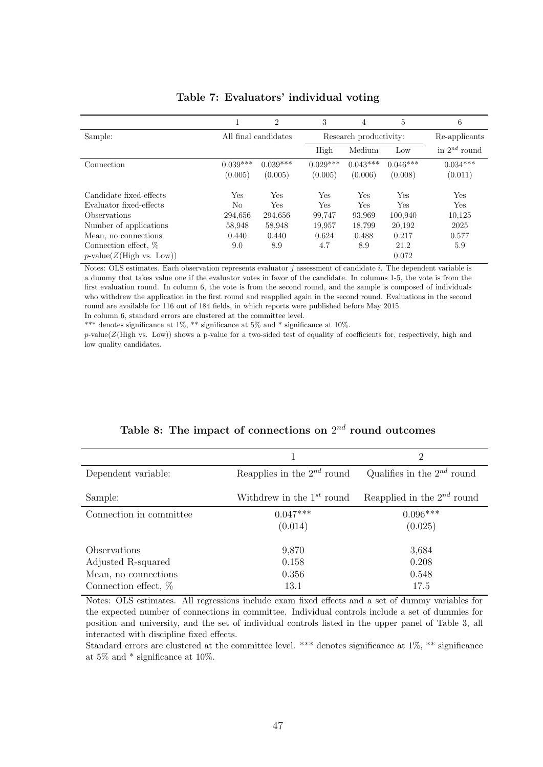|                                |            | $\overline{2}$       | 3          | 4                      | 5          | 6                 |
|--------------------------------|------------|----------------------|------------|------------------------|------------|-------------------|
| Sample:                        |            | All final candidates |            | Research productivity: |            | Re-applicants     |
|                                |            |                      | High       | Medium                 | Low        | in $2^{nd}$ round |
| Connection                     | $0.039***$ | $0.039***$           | $0.029***$ | $0.043***$             | $0.046***$ | $0.034***$        |
|                                | (0.005)    | (0.005)              | (0.005)    | (0.006)                | (0.008)    | (0.011)           |
| Candidate fixed-effects        | Yes        | Yes                  | Yes        | Yes                    | Yes        | Yes               |
| Evaluator fixed-effects        | No         | Yes                  | Yes        | Yes                    | <b>Yes</b> | Yes               |
| <i><b>Observations</b></i>     | 294,656    | 294,656              | 99.747     | 93,969                 | 100,940    | 10.125            |
| Number of applications         | 58,948     | 58,948               | 19,957     | 18,799                 | 20,192     | 2025              |
| Mean, no connections           | 0.440      | 0.440                | 0.624      | 0.488                  | 0.217      | 0.577             |
| Connection effect, $%$         | 9.0        | 8.9                  | 4.7        | 8.9                    | 21.2       | 5.9               |
| $p$ -value $(Z(High vs. Low))$ |            |                      |            |                        | 0.072      |                   |

# Table 7: Evaluators' individual voting

Notes: OLS estimates. Each observation represents evaluator  $j$  assessment of candidate  $i$ . The dependent variable is a dummy that takes value one if the evaluator votes in favor of the candidate. In columns 1-5, the vote is from the first evaluation round. In column 6, the vote is from the second round, and the sample is composed of individuals who withdrew the application in the first round and reapplied again in the second round. Evaluations in the second round are available for 116 out of 184 fields, in which reports were published before May 2015. In column 6, standard errors are clustered at the committee level.

\*\*\* denotes significance at  $1\%$ , \*\* significance at  $5\%$  and \* significance at  $10\%$ .

p-value(Z(High vs. Low)) shows a p-value for a two-sided test of equality of coefficients for, respectively, high and low quality candidates.

|                         |                                 | 2                               |
|-------------------------|---------------------------------|---------------------------------|
| Dependent variable:     | Reapplies in the $2^{nd}$ round | Qualifies in the $2^{nd}$ round |
| Sample:                 | Withdrew in the $1^{st}$ round  | Reapplied in the $2^{nd}$ round |
| Connection in committee | $0.047***$                      | $0.096***$                      |
|                         | (0.014)                         | (0.025)                         |
| Observations            | 9,870                           | 3,684                           |
| Adjusted R-squared      | 0.158                           | 0.208                           |
| Mean, no connections    | 0.356                           | 0.548                           |
| Connection effect, %    | 13.1                            | 17.5                            |

# Table 8: The impact of connections on  $2^{nd}$  round outcomes

Notes: OLS estimates. All regressions include exam fixed effects and a set of dummy variables for the expected number of connections in committee. Individual controls include a set of dummies for position and university, and the set of individual controls listed in the upper panel of Table 3, all interacted with discipline fixed effects.

Standard errors are clustered at the committee level. \*\*\* denotes significance at 1%, \*\* significance at 5% and \* significance at 10%.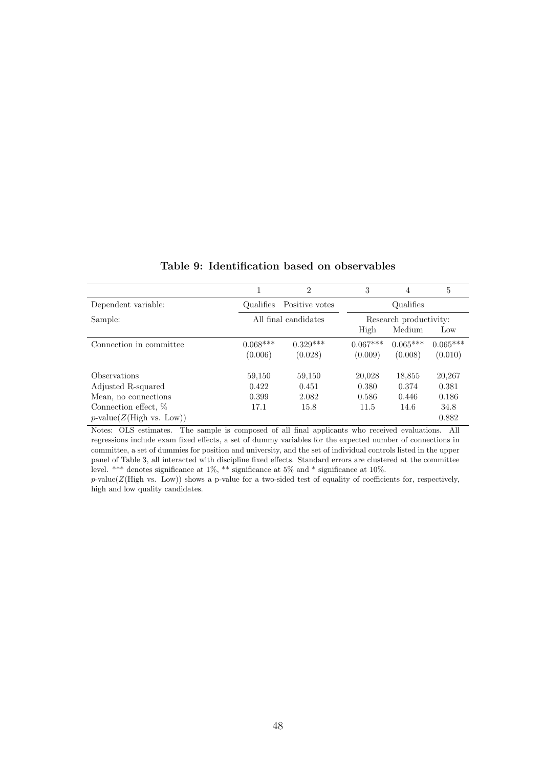|                                |                      | $\overline{2}$ | 3                      | $\overline{4}$ | 5          |  |
|--------------------------------|----------------------|----------------|------------------------|----------------|------------|--|
| Dependent variable:            | Qualifies            | Positive votes |                        | Qualifies      |            |  |
| Sample:                        | All final candidates |                | Research productivity: |                |            |  |
|                                |                      |                | High                   | Medium         | Low        |  |
| Connection in committee        | $0.068***$           | $0.329***$     | $0.067***$             | $0.065***$     | $0.065***$ |  |
|                                | (0.006)              | (0.028)        | (0.009)                | (0.008)        | (0.010)    |  |
| Observations                   | 59,150               | 59,150         | 20,028                 | 18,855         | 20,267     |  |
| Adjusted R-squared             | 0.422                | 0.451          | 0.380                  | 0.374          | 0.381      |  |
| Mean, no connections           | 0.399                | 2.082          | 0.586                  | 0.446          | 0.186      |  |
| Connection effect, %           | 17.1                 | 15.8           | 11.5                   | 14.6           | 34.8       |  |
| $p$ -value $(Z(High vs. Low))$ |                      |                |                        |                | 0.882      |  |

Table 9: Identification based on observables

Notes: OLS estimates. The sample is composed of all final applicants who received evaluations. All regressions include exam fixed effects, a set of dummy variables for the expected number of connections in committee, a set of dummies for position and university, and the set of individual controls listed in the upper panel of Table 3, all interacted with discipline fixed effects. Standard errors are clustered at the committee level. \*\*\* denotes significance at 1%, \*\* significance at 5% and \* significance at 10%.

 $p$ -value( $Z$ (High vs. Low)) shows a p-value for a two-sided test of equality of coefficients for, respectively, high and low quality candidates.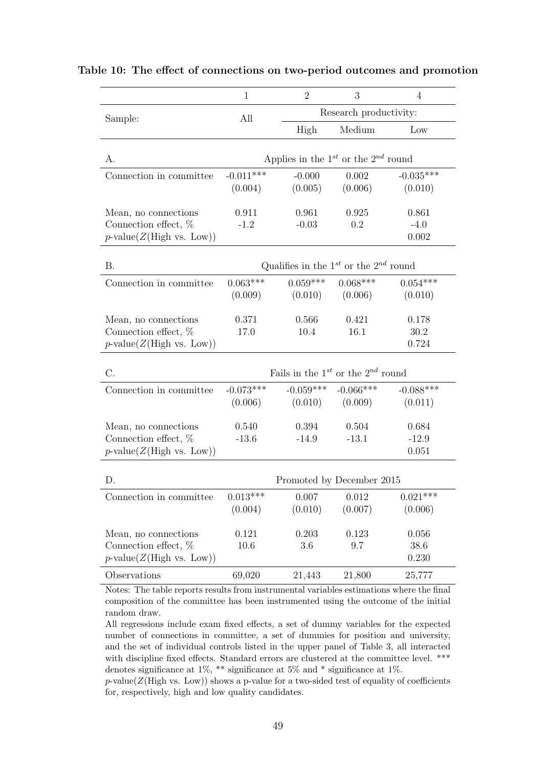|                                                                             | $\mathbf{1}$                                  | $\overline{2}$                                  | 3                      | $\overline{4}$            |  |  |  |
|-----------------------------------------------------------------------------|-----------------------------------------------|-------------------------------------------------|------------------------|---------------------------|--|--|--|
| Sample:                                                                     | All                                           |                                                 | Research productivity: |                           |  |  |  |
|                                                                             |                                               | High                                            | Medium                 | Low                       |  |  |  |
| А.                                                                          | Applies in the $1^{st}$ or the $2^{nd}$ round |                                                 |                        |                           |  |  |  |
| Connection in committee                                                     | $-0.011***$<br>(0.004)                        | $-0.000$<br>(0.005)                             | 0.002<br>(0.006)       | $-0.035***$<br>(0.010)    |  |  |  |
| Mean, no connections<br>Connection effect, %<br>$p$ -value(Z(High vs. Low)) | 0.911<br>$-1.2$                               | 0.961<br>$-0.03$                                | 0.925<br>0.2           | 0.861<br>$-4.0$<br>0.002  |  |  |  |
| <b>B.</b>                                                                   |                                               | Qualifies in the $1^{st}$ or the $2^{nd}$ round |                        |                           |  |  |  |
| Connection in committee                                                     | $0.063***$<br>(0.009)                         | $0.059***$<br>(0.010)                           | $0.068***$<br>(0.006)  | $0.054***$<br>(0.010)     |  |  |  |
| Mean, no connections<br>Connection effect, %<br>$p$ -value(Z(High vs. Low)) | 0.371<br>17.0                                 | 0.566<br>10.4                                   | 0.421<br>16.1          | 0.178<br>30.2<br>0.724    |  |  |  |
| C.                                                                          |                                               | Fails in the $1^{st}$ or the $2^{nd}$ round     |                        |                           |  |  |  |
| Connection in committee                                                     | $-0.073***$<br>(0.006)                        | $-0.059***$<br>(0.010)                          | $-0.066***$<br>(0.009) | $-0.088***$<br>(0.011)    |  |  |  |
| Mean, no connections<br>Connection effect, %<br>$p$ -value(Z(High vs. Low)) | 0.540<br>$-13.6$                              | 0.394<br>$-14.9$                                | 0.504<br>$-13.1$       | 0.684<br>$-12.9$<br>0.051 |  |  |  |
| D.                                                                          |                                               | Promoted by December 2015                       |                        |                           |  |  |  |
| Connection in committee                                                     | $0.013***$<br>(0.004)                         | 0.007<br>(0.010)                                | 0.012<br>(0.007)       | $0.021***$<br>(0.006)     |  |  |  |
| Mean, no connections<br>Connection effect, %<br>$p$ -value(Z(High vs. Low)) | 0.121<br>10.6                                 | 0.203<br>3.6                                    | 0.123<br>9.7           | 0.056<br>38.6<br>0.230    |  |  |  |
| Observations                                                                | 69,020                                        | 21,443                                          | 21,800                 | 25,777                    |  |  |  |

Table 10: The effect of connections on two-period outcomes and promotion

Notes: The table reports results from instrumental variables estimations where the final composition of the committee has been instrumented using the outcome of the initial random draw.

All regressions include exam fixed effects, a set of dummy variables for the expected number of connections in committee, a set of dummies for position and university, and the set of individual controls listed in the upper panel of Table 3, all interacted with discipline fixed effects. Standard errors are clustered at the committee level. \*\*\* denotes significance at 1%, \*\* significance at 5% and \* significance at 1%.

 $p$ -value( $Z(High vs. Low)$ ) shows a p-value for a two-sided test of equality of coefficients for, respectively, high and low quality candidates.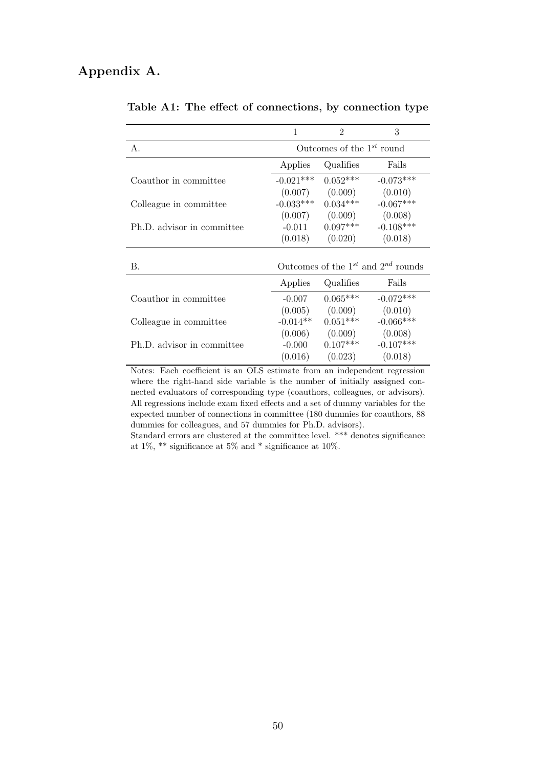# Appendix A.

 $\overline{\phantom{a}}$ 

|                            |                                | $\mathfrak{D}$ | 3                                            |  |  |
|----------------------------|--------------------------------|----------------|----------------------------------------------|--|--|
| А.                         | Outcomes of the $1^{st}$ round |                |                                              |  |  |
|                            | Applies                        | Qualifies      | Fails                                        |  |  |
| Coauthor in committee      | $-0.021***$                    | $0.052***$     | $-0.073***$                                  |  |  |
|                            | (0.007)                        | (0.009)        | (0.010)                                      |  |  |
| Colleague in committee     | $-0.033***$                    | $0.034***$     | $-0.067***$                                  |  |  |
|                            | (0.007)                        | (0.009)        | (0.008)                                      |  |  |
| Ph.D. advisor in committee | $-0.011$                       | $0.097***$     | $-0.108***$                                  |  |  |
|                            | (0.018)                        | (0.020)        | (0.018)                                      |  |  |
|                            |                                |                |                                              |  |  |
| В.                         |                                |                | Outcomes of the $1^{st}$ and $2^{nd}$ rounds |  |  |
|                            | Applies                        | Qualifies      | Fails                                        |  |  |
| Coauthor in committee      | $-0.007$                       | $0.065***$     | $-0.072***$                                  |  |  |
|                            |                                |                |                                              |  |  |

Table A1: The effect of connections, by connection type

| содинног нг сонниглас                                                     | $-0.001$   | ,,,,,,,,   | $-0.012$    |  |  |  |
|---------------------------------------------------------------------------|------------|------------|-------------|--|--|--|
|                                                                           | (0.005)    | (0.009)    | (0.010)     |  |  |  |
| Colleague in committee                                                    | $-0.014**$ | $0.051***$ | $-0.066***$ |  |  |  |
|                                                                           | (0.006)    | (0.009)    | (0.008)     |  |  |  |
| Ph.D. advisor in committee                                                | $-0.000$   | $0.107***$ | $-0.107***$ |  |  |  |
|                                                                           | (0.016)    | (0.023)    | (0.018)     |  |  |  |
| Notes: Each coefficient is an OLS estimate from an independent regression |            |            |             |  |  |  |

where the right-hand side variable is the number of initially assigned connected evaluators of corresponding type (coauthors, colleagues, or advisors). All regressions include exam fixed effects and a set of dummy variables for the expected number of connections in committee (180 dummies for coauthors, 88 dummies for colleagues, and 57 dummies for Ph.D. advisors).

Standard errors are clustered at the committee level. \*\*\* denotes significance at 1%,  $^{**}$  significance at 5% and  $^{*}$  significance at 10%.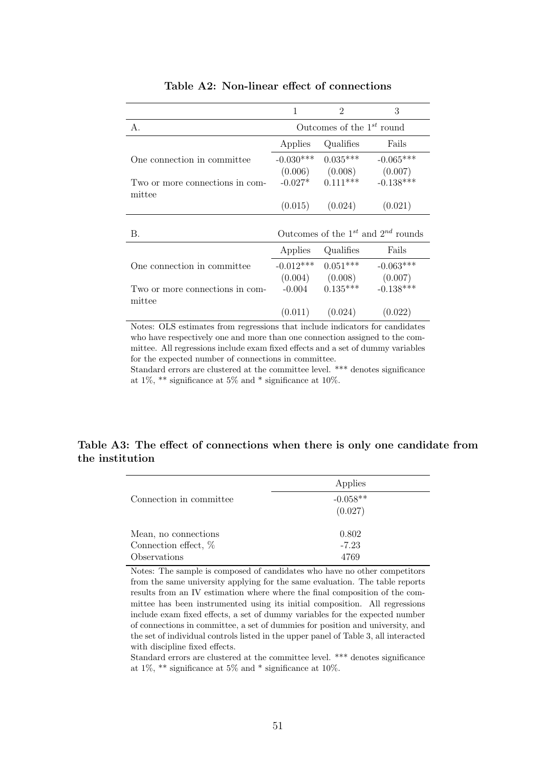|                                                                                                                                                                                                                                                                                                                                             | 1                                            | $\mathcal{D}_{\mathcal{L}}$ | 3                   |
|---------------------------------------------------------------------------------------------------------------------------------------------------------------------------------------------------------------------------------------------------------------------------------------------------------------------------------------------|----------------------------------------------|-----------------------------|---------------------|
| А.                                                                                                                                                                                                                                                                                                                                          | Outcomes of the $1^{st}$ round               |                             |                     |
|                                                                                                                                                                                                                                                                                                                                             | Applies                                      | Qualifies                   | Fails               |
| One connection in committee                                                                                                                                                                                                                                                                                                                 | $-0.030***$                                  | $0.035***$                  | $-0.065***$         |
|                                                                                                                                                                                                                                                                                                                                             |                                              | $(0.006)$ $(0.008)$         | (0.007)             |
| Two or more connections in com-                                                                                                                                                                                                                                                                                                             |                                              | $-0.027*$ 0.111***          | $-0.138***$         |
| mittee                                                                                                                                                                                                                                                                                                                                      |                                              |                             |                     |
|                                                                                                                                                                                                                                                                                                                                             | (0.015)                                      | (0.024)                     | (0.021)             |
|                                                                                                                                                                                                                                                                                                                                             |                                              |                             |                     |
| В.                                                                                                                                                                                                                                                                                                                                          | Outcomes of the $1^{st}$ and $2^{nd}$ rounds |                             |                     |
|                                                                                                                                                                                                                                                                                                                                             | Applies                                      | Qualifies                   | Fails               |
| One connection in committee                                                                                                                                                                                                                                                                                                                 | $-0.012***$                                  | $0.051***$                  | $-0.063***$         |
|                                                                                                                                                                                                                                                                                                                                             |                                              | $(0.004)$ $(0.008)$         | (0.007)             |
| Two or more connections in com-                                                                                                                                                                                                                                                                                                             | $-0.004$                                     | $0.135***$                  | $-0.138***$         |
| mittee                                                                                                                                                                                                                                                                                                                                      |                                              |                             |                     |
|                                                                                                                                                                                                                                                                                                                                             |                                              | $(0.011)$ $(0.024)$         | (0.022)             |
| $\bigcap_{i=1}^{n}$ $\bigcap_{i=1}^{n}$ $\bigcap_{i=1}^{n}$ $\bigcap_{i=1}^{n}$ $\bigcap_{i=1}^{n}$ $\bigcap_{i=1}^{n}$ $\bigcap_{i=1}^{n}$ $\bigcap_{i=1}^{n}$ $\bigcap_{i=1}^{n}$ $\bigcap_{i=1}^{n}$ $\bigcap_{i=1}^{n}$ $\bigcap_{i=1}^{n}$ $\bigcap_{i=1}^{n}$ $\bigcap_{i=1}^{n}$ $\bigcap_{i=1}^{n}$ $\bigcap_{i=1}^{n$<br><b>NT</b> |                                              |                             | $\epsilon$<br>1.1.1 |

# Table A2: Non-linear effect of connections

Notes: OLS estimates from regressions that include indicators for candidates who have respectively one and more than one connection assigned to the committee. All regressions include exam fixed effects and a set of dummy variables for the expected number of connections in committee.

Standard errors are clustered at the committee level. \*\*\* denotes significance at 1%, \*\* significance at 5% and \* significance at 10%.

# Table A3: The effect of connections when there is only one candidate from the institution

|                         | Applies    |
|-------------------------|------------|
| Connection in committee | $-0.058**$ |
|                         | (0.027)    |
|                         |            |
| Mean, no connections    | 0.802      |
| Connection effect, %    | $-7.23$    |
| Observations            | 4769       |

Notes: The sample is composed of candidates who have no other competitors from the same university applying for the same evaluation. The table reports results from an IV estimation where where the final composition of the committee has been instrumented using its initial composition. All regressions include exam fixed effects, a set of dummy variables for the expected number of connections in committee, a set of dummies for position and university, and the set of individual controls listed in the upper panel of Table 3, all interacted with discipline fixed effects.

Standard errors are clustered at the committee level. \*\*\* denotes significance at 1%, \*\* significance at 5% and \* significance at 10%.